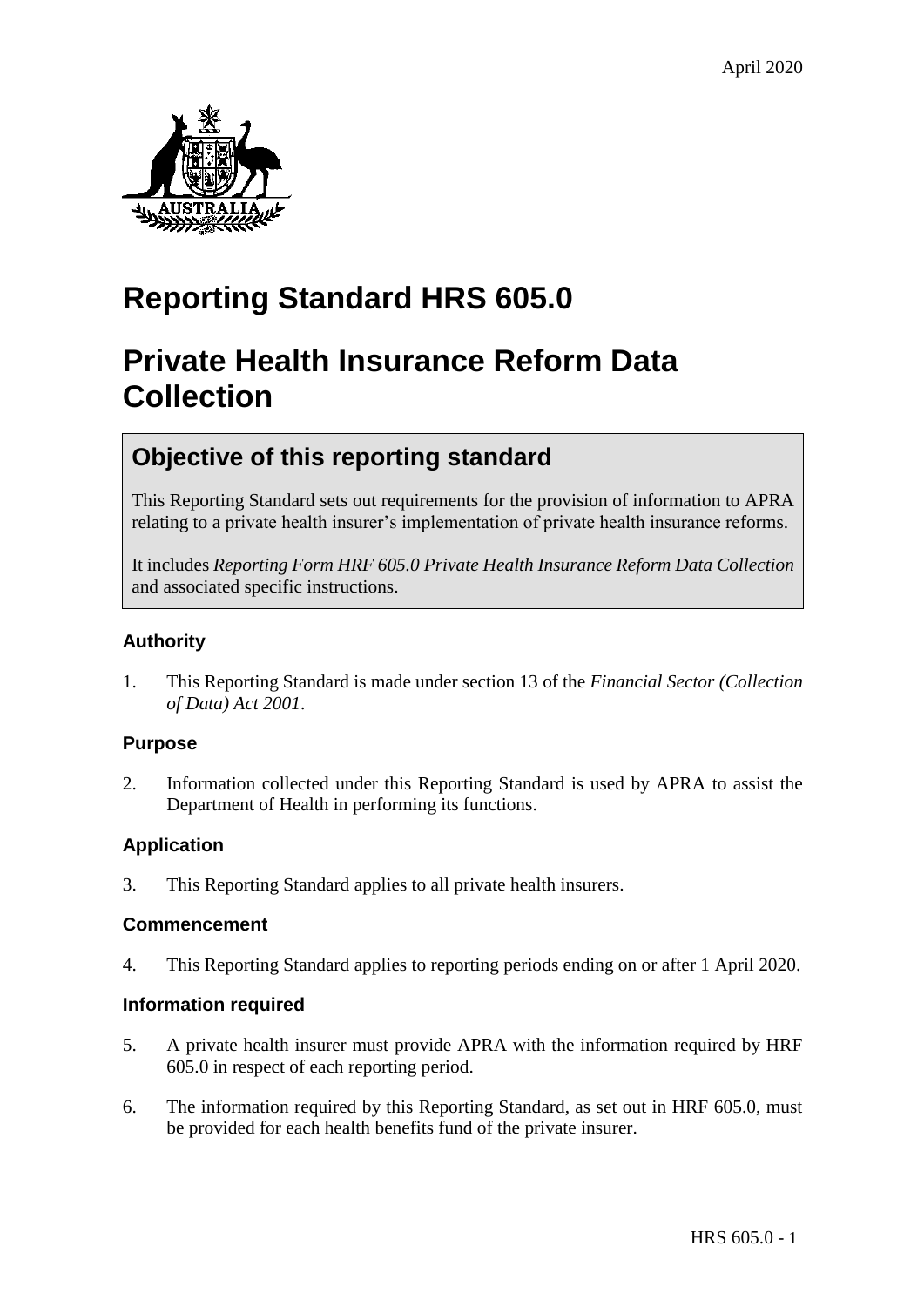

## **Reporting Standard HRS 605.0**

## **Private Health Insurance Reform Data Collection**

### **Objective of this reporting standard**

This Reporting Standard sets out requirements for the provision of information to APRA relating to a private health insurer's implementation of private health insurance reforms.

It includes *Reporting Form HRF 605.0 Private Health Insurance Reform Data Collection* and associated specific instructions.

#### **Authority**

1. This Reporting Standard is made under section 13 of the *Financial Sector (Collection of Data) Act 2001*.

#### **Purpose**

2. Information collected under this Reporting Standard is used by APRA to assist the Department of Health in performing its functions.

#### **Application**

3. This Reporting Standard applies to all private health insurers.

#### **Commencement**

4. This Reporting Standard applies to reporting periods ending on or after 1 April 2020.

#### **Information required**

- 5. A private health insurer must provide APRA with the information required by HRF 605.0 in respect of each reporting period.
- 6. The information required by this Reporting Standard, as set out in HRF 605.0, must be provided for each health benefits fund of the private insurer.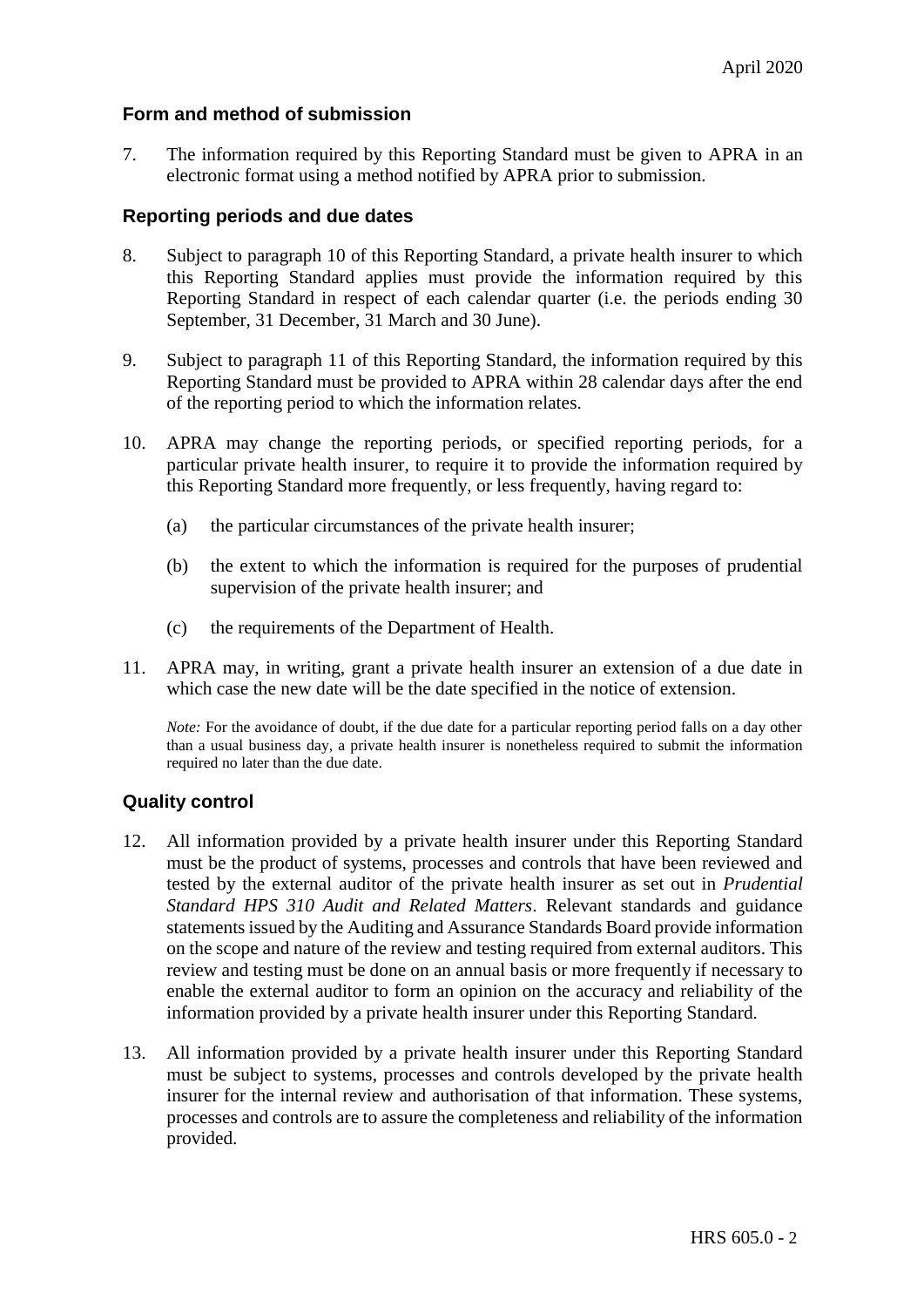#### **Form and method of submission**

7. The information required by this Reporting Standard must be given to APRA in an electronic format using a method notified by APRA prior to submission.

#### **Reporting periods and due dates**

- 8. Subject to paragraph 10 of this Reporting Standard, a private health insurer to which this Reporting Standard applies must provide the information required by this Reporting Standard in respect of each calendar quarter (i.e. the periods ending 30 September, 31 December, 31 March and 30 June).
- 9. Subject to paragraph 11 of this Reporting Standard, the information required by this Reporting Standard must be provided to APRA within 28 calendar days after the end of the reporting period to which the information relates.
- 10. APRA may change the reporting periods, or specified reporting periods, for a particular private health insurer, to require it to provide the information required by this Reporting Standard more frequently, or less frequently, having regard to:
	- (a) the particular circumstances of the private health insurer;
	- (b) the extent to which the information is required for the purposes of prudential supervision of the private health insurer; and
	- (c) the requirements of the Department of Health.
- 11. APRA may, in writing, grant a private health insurer an extension of a due date in which case the new date will be the date specified in the notice of extension.

*Note:* For the avoidance of doubt, if the due date for a particular reporting period falls on a day other than a usual business day, a private health insurer is nonetheless required to submit the information required no later than the due date.

#### **Quality control**

- 12. All information provided by a private health insurer under this Reporting Standard must be the product of systems, processes and controls that have been reviewed and tested by the external auditor of the private health insurer as set out in *Prudential Standard HPS 310 Audit and Related Matters*. Relevant standards and guidance statements issued by the Auditing and Assurance Standards Board provide information on the scope and nature of the review and testing required from external auditors. This review and testing must be done on an annual basis or more frequently if necessary to enable the external auditor to form an opinion on the accuracy and reliability of the information provided by a private health insurer under this Reporting Standard.
- 13. All information provided by a private health insurer under this Reporting Standard must be subject to systems, processes and controls developed by the private health insurer for the internal review and authorisation of that information. These systems, processes and controls are to assure the completeness and reliability of the information provided.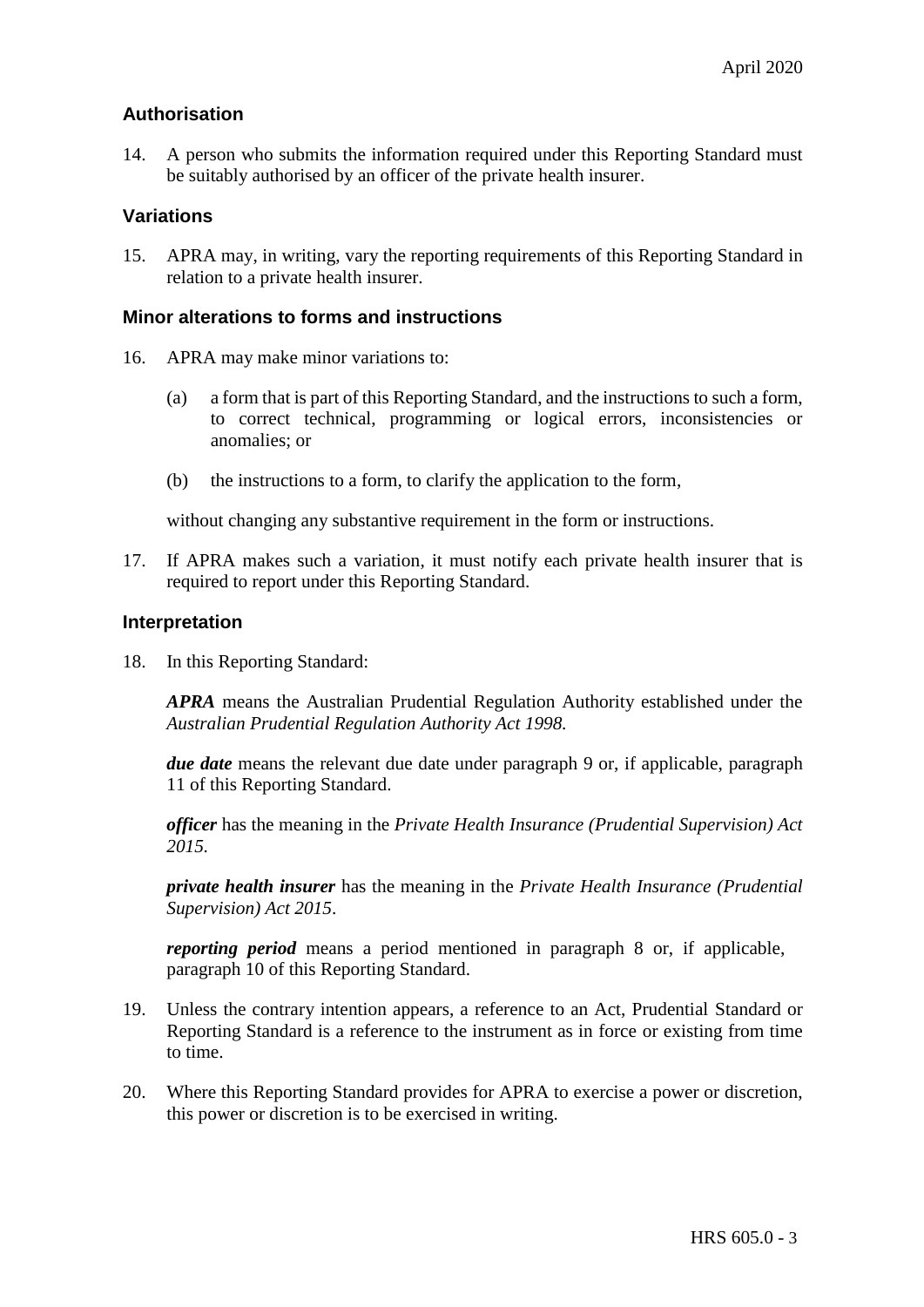#### **Authorisation**

14. A person who submits the information required under this Reporting Standard must be suitably authorised by an officer of the private health insurer.

#### **Variations**

15. APRA may, in writing, vary the reporting requirements of this Reporting Standard in relation to a private health insurer.

#### **Minor alterations to forms and instructions**

- 16. APRA may make minor variations to:
	- (a) a form that is part of this Reporting Standard, and the instructions to such a form, to correct technical, programming or logical errors, inconsistencies or anomalies; or
	- (b) the instructions to a form, to clarify the application to the form,

without changing any substantive requirement in the form or instructions.

17. If APRA makes such a variation, it must notify each private health insurer that is required to report under this Reporting Standard.

#### **Interpretation**

18. In this Reporting Standard:

*APRA* means the Australian Prudential Regulation Authority established under the *Australian Prudential Regulation Authority Act 1998.*

*due date* means the relevant due date under paragraph 9 or, if applicable, paragraph 11 of this Reporting Standard.

*officer* has the meaning in the *Private Health Insurance (Prudential Supervision) Act 2015.*

*private health insurer* has the meaning in the *Private Health Insurance (Prudential Supervision) Act 2015*.

*reporting period* means a period mentioned in paragraph 8 or, if applicable, paragraph 10 of this Reporting Standard.

- 19. Unless the contrary intention appears, a reference to an Act, Prudential Standard or Reporting Standard is a reference to the instrument as in force or existing from time to time.
- 20. Where this Reporting Standard provides for APRA to exercise a power or discretion, this power or discretion is to be exercised in writing.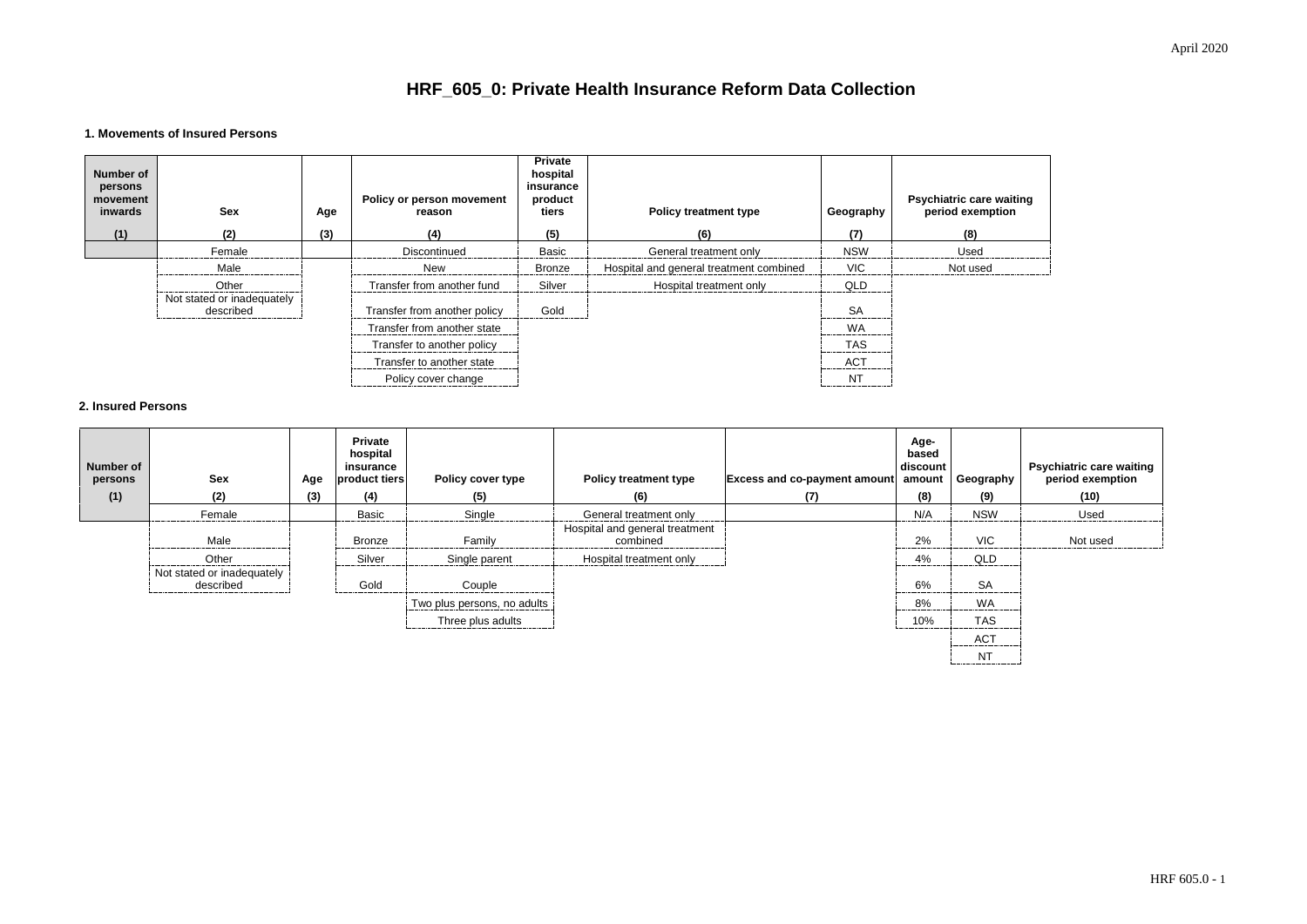

## **HRF\_605\_0: Private Health Insurance Reform Data Collection**

#### **1. Movements of Insured Persons**

| Number of<br>persons<br>movement<br>inwards<br>(1) | <b>Sex</b><br>(2)                       | Age<br>(3) | <b>Policy or person movement</b><br>reason<br>(4) | <b>Private</b><br>hospital<br>insurance<br>product<br>tiers<br>(5) | <b>Policy treatment type</b><br>(6)     | Geography<br>(7)                                                | <b>Psychiatric care waiting<br/>period exemption</b><br>(8) |
|----------------------------------------------------|-----------------------------------------|------------|---------------------------------------------------|--------------------------------------------------------------------|-----------------------------------------|-----------------------------------------------------------------|-------------------------------------------------------------|
|                                                    | Female                                  |            | Discontinued                                      | <b>Basic</b>                                                       | General treatment only                  | <b>NSW</b>                                                      | Used                                                        |
|                                                    | Male                                    |            | <b>New</b>                                        | <b>Bronze</b>                                                      | Hospital and general treatment combined | <b>VIC</b>                                                      | Not used                                                    |
|                                                    | Other                                   |            | Transfer from another fund                        | Silver                                                             | Hospital treatment only                 | QLD                                                             |                                                             |
|                                                    | Not stated or inadequately<br>described |            | Transfer from another policy                      | Gold                                                               |                                         | <b>SA</b>                                                       |                                                             |
|                                                    |                                         |            | Transfer from another state                       |                                                                    |                                         | <b>WA</b>                                                       |                                                             |
|                                                    |                                         |            | Transfer to another policy                        |                                                                    |                                         | <b>TAS</b>                                                      |                                                             |
|                                                    |                                         |            | Transfer to another state                         |                                                                    |                                         | <b>ACT</b>                                                      |                                                             |
|                                                    |                                         |            | Policy cover change                               |                                                                    |                                         | N.<br><u> bernardinan mengenaan mengenaan mengenaan mengena</u> |                                                             |

#### **2. Insured Persons**

| <b>Number of</b><br>persons<br>(1) | <b>Sex</b><br>(2)                       | Age<br>(3) | <b>Private</b><br>hospital<br>insurance<br>product tiers<br>(4) | <b>Policy cover type</b><br>(5) | <b>Policy treatment type</b><br>(6)        | <b>Excess and co-payment amount</b><br>(7) | Age-<br>based<br>discount<br>amount<br>(8) | Geography<br>(9) | Psychiatric care waiting<br>period exemption<br>(10) |
|------------------------------------|-----------------------------------------|------------|-----------------------------------------------------------------|---------------------------------|--------------------------------------------|--------------------------------------------|--------------------------------------------|------------------|------------------------------------------------------|
|                                    | Female                                  |            | Basic                                                           | Single                          | General treatment only                     |                                            | N/A                                        | <b>NSW</b>       | Used                                                 |
|                                    | Male                                    |            | Bronze                                                          | Family                          | Hospital and general treatment<br>combined |                                            | 2%<br>                                     | <b>VIC</b><br>.  | Not used                                             |
|                                    | Other                                   |            | Silver                                                          | Single parent                   | Hospital treatment only                    |                                            | 4%                                         | QLD              |                                                      |
|                                    | Not stated or inadequately<br>described |            | Gold                                                            | Couple                          |                                            |                                            | 6%<br>                                     | <b>SA</b><br>    |                                                      |
|                                    |                                         |            |                                                                 | Two plus persons, no adults     |                                            |                                            | 8%                                         | <b>WA</b>        |                                                      |
|                                    |                                         |            |                                                                 | Three plus adults               |                                            |                                            | 10%                                        | <b>TAS</b><br>.  |                                                      |
|                                    |                                         |            |                                                                 |                                 |                                            |                                            |                                            | <b>ACT</b>       |                                                      |
|                                    |                                         |            |                                                                 |                                 |                                            |                                            |                                            | <b>NT</b>        |                                                      |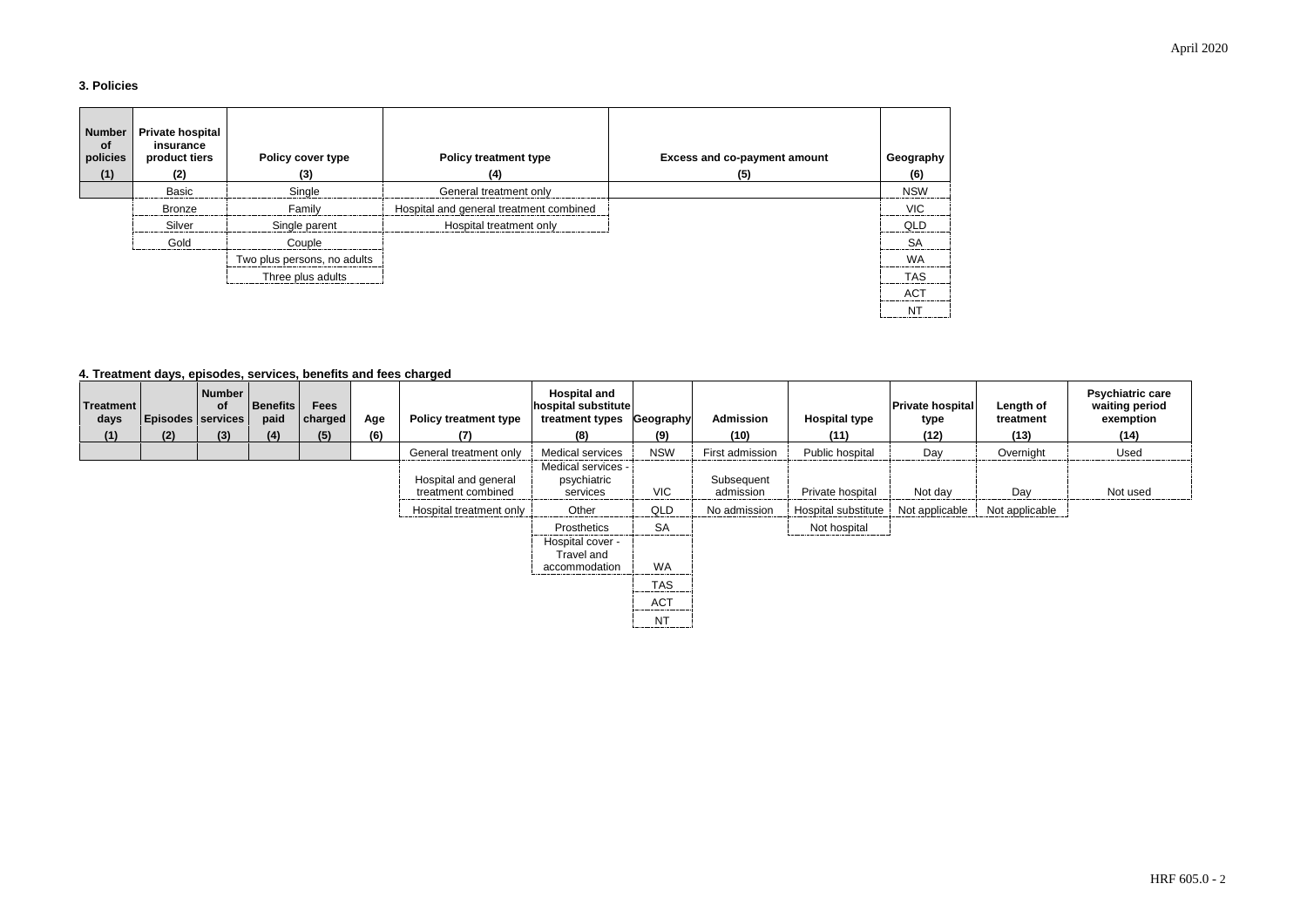#### **3. Policies**

| <b>Number</b><br>of<br>policies<br>(1) | <b>Private hospital</b><br>insurance<br>product tiers<br>(2) | <b>Policy cover type</b><br>(3) | <b>Policy treatment type</b><br>(4)     | <b>Excess and co-payment amount</b><br>(5) | Geography<br>(6)             |
|----------------------------------------|--------------------------------------------------------------|---------------------------------|-----------------------------------------|--------------------------------------------|------------------------------|
|                                        | Basic                                                        | Single                          | General treatment only                  |                                            | <b>NSW</b>                   |
|                                        | Bronze                                                       | Family                          | Hospital and general treatment combined |                                            | <b>VIC</b>                   |
|                                        | Silver                                                       | Single parent                   | Hospital treatment only                 |                                            | QLD                          |
|                                        | Gold                                                         | Couple                          |                                         |                                            | <b>SA</b><br>--------------- |
|                                        |                                                              | Two plus persons, no adults     |                                         |                                            | WA                           |
|                                        |                                                              | Three plus adults               |                                         |                                            | <b>TAS</b>                   |
|                                        |                                                              |                                 |                                         |                                            | AC <sub>T</sub>              |
|                                        |                                                              |                                 |                                         |                                            | N1                           |

#### **4. Treatment days, episodes, services, benefits and fees charged**

| Treatment<br>days | <b>Episodes services</b> | <b>Number</b><br><b>of</b> | <b>Benefits</b><br>paid | <b>Fees</b><br>charged | Age | <b>Policy treatment type</b>               | <b>Hospital and</b><br>hospital substitute<br>treatment types | Geography                                  | <b>Admission</b><br>(10) | <b>Hospital type</b> | <b>Private hospital</b><br>type | Length of<br>treatment<br>(13) | Psychiatri<br>waiting p<br>exempt |
|-------------------|--------------------------|----------------------------|-------------------------|------------------------|-----|--------------------------------------------|---------------------------------------------------------------|--------------------------------------------|--------------------------|----------------------|---------------------------------|--------------------------------|-----------------------------------|
| (1)               | (2)                      | (3)                        | (4)                     | (5)                    | (6) | (7)                                        | (8)                                                           | (9)                                        |                          | (11)                 | (12)                            |                                | (14)                              |
|                   |                          |                            |                         |                        |     | General treatment only                     | <b>Medical services</b>                                       | <b>NSW</b>                                 | First admission          | Public hospital      | Day                             | Overnight                      | Used                              |
|                   |                          |                            |                         |                        |     | Hospital and general<br>treatment combined | Medical services -<br>psychiatric<br>services                 | <b>VIC</b>                                 | Subsequent<br>admission  | Private hospital     | Not day                         | Day                            | Not us                            |
|                   |                          |                            |                         |                        |     | Hospital treatment only                    | Other                                                         | <b>QLD</b>                                 | No admission             | Hospital substitute  | Not applicable                  | Not applicable                 |                                   |
|                   |                          |                            |                         |                        |     |                                            | Prosthetics                                                   | <b>SA</b><br>--------------                |                          | Not hospital         |                                 |                                |                                   |
|                   |                          |                            |                         |                        |     |                                            | Hospital cover -<br>Travel and<br>accommodation               | <b>WA</b>                                  |                          |                      |                                 |                                |                                   |
|                   |                          |                            |                         |                        |     |                                            |                                                               | <b>TAS</b><br>.                            |                          |                      |                                 |                                |                                   |
|                   |                          |                            |                         |                        |     |                                            |                                                               | <b>ACT</b><br>---------------------------- |                          |                      |                                 |                                |                                   |
|                   |                          |                            |                         |                        |     |                                            |                                                               | ΝT                                         |                          |                      |                                 |                                |                                   |

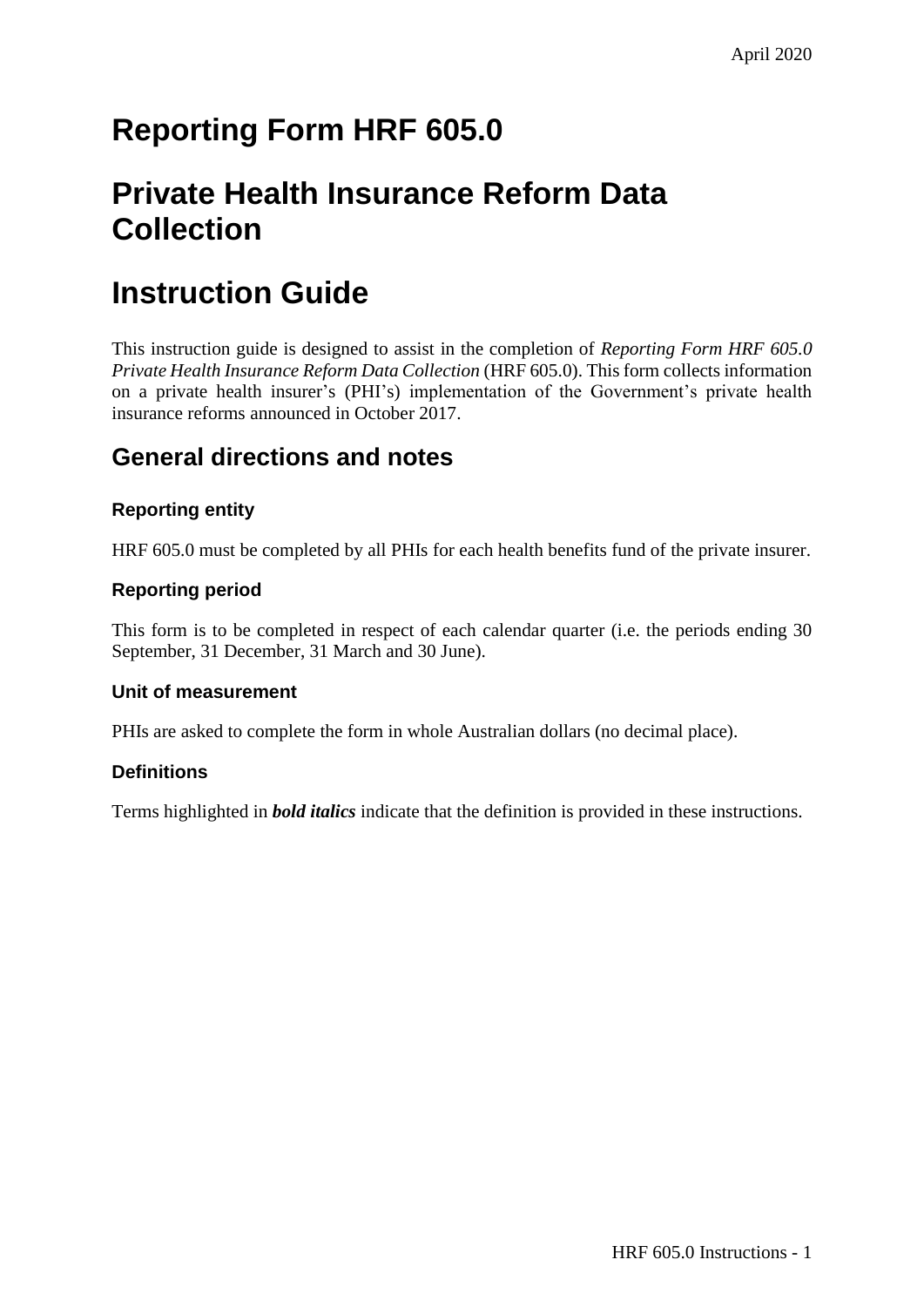# **Reporting Form HRF 605.0**

## **Private Health Insurance Reform Data Collection**

## **Instruction Guide**

This instruction guide is designed to assist in the completion of *Reporting Form HRF 605.0 Private Health Insurance Reform Data Collection* (HRF 605.0). This form collects information on a private health insurer's (PHI's) implementation of the Government's private health insurance reforms announced in October 2017.

### **General directions and notes**

#### **Reporting entity**

HRF 605.0 must be completed by all PHIs for each health benefits fund of the private insurer.

#### **Reporting period**

This form is to be completed in respect of each calendar quarter (i.e. the periods ending 30 September, 31 December, 31 March and 30 June).

#### **Unit of measurement**

PHIs are asked to complete the form in whole Australian dollars (no decimal place).

#### **Definitions**

Terms highlighted in *bold italics* indicate that the definition is provided in these instructions.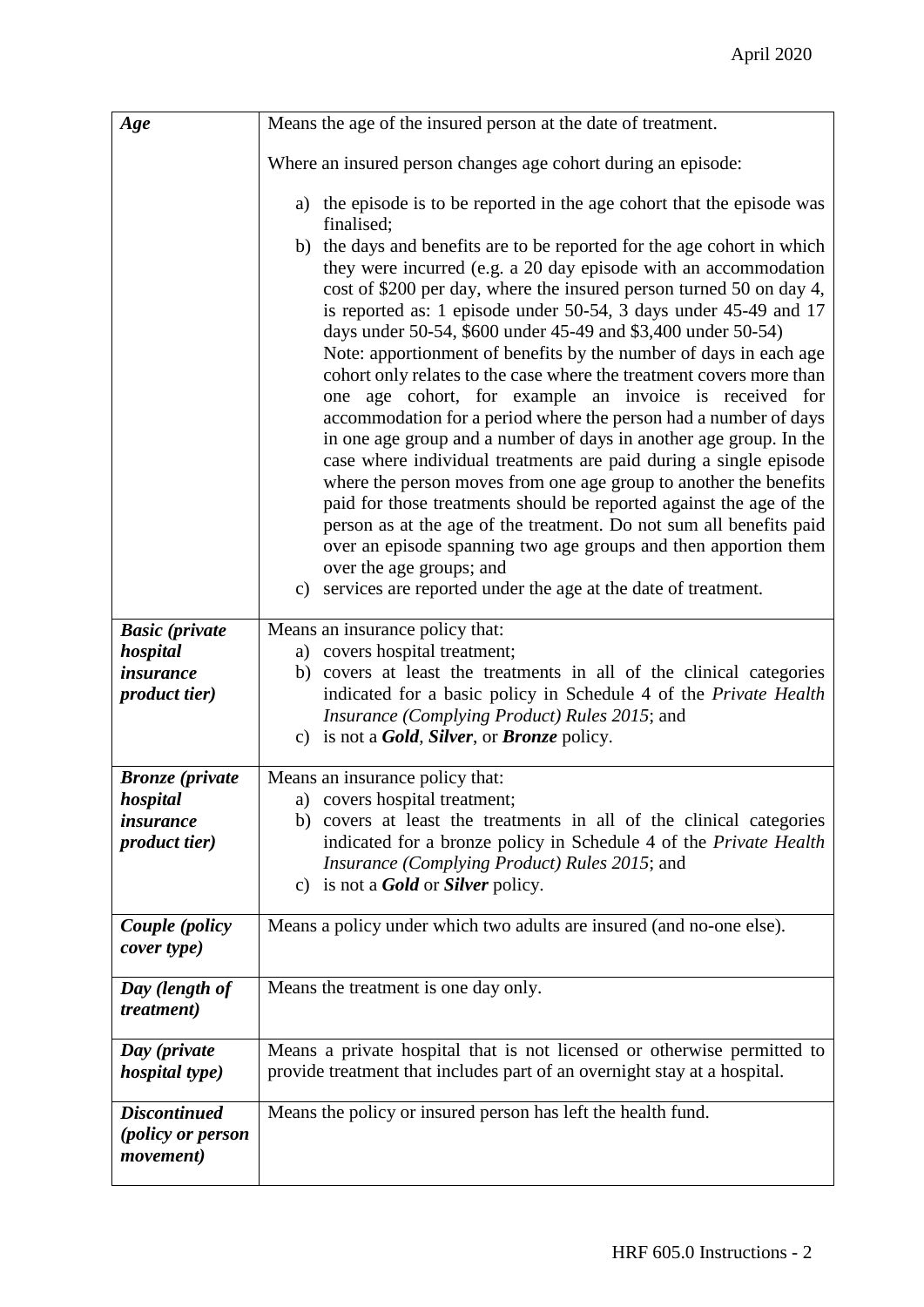| Age                                           | Means the age of the insured person at the date of treatment.                                                                                                                                                                                                                                                                                                                                                                                                                                                                                                                                                                                                                                                                                                                                                                                                                                                                                                                                                                                                                                                                                                                                                                                              |
|-----------------------------------------------|------------------------------------------------------------------------------------------------------------------------------------------------------------------------------------------------------------------------------------------------------------------------------------------------------------------------------------------------------------------------------------------------------------------------------------------------------------------------------------------------------------------------------------------------------------------------------------------------------------------------------------------------------------------------------------------------------------------------------------------------------------------------------------------------------------------------------------------------------------------------------------------------------------------------------------------------------------------------------------------------------------------------------------------------------------------------------------------------------------------------------------------------------------------------------------------------------------------------------------------------------------|
|                                               | Where an insured person changes age cohort during an episode:                                                                                                                                                                                                                                                                                                                                                                                                                                                                                                                                                                                                                                                                                                                                                                                                                                                                                                                                                                                                                                                                                                                                                                                              |
|                                               | a) the episode is to be reported in the age cohort that the episode was<br>finalised:<br>b) the days and benefits are to be reported for the age cohort in which<br>they were incurred (e.g. a 20 day episode with an accommodation<br>cost of \$200 per day, where the insured person turned 50 on day 4,<br>is reported as: 1 episode under 50-54, 3 days under 45-49 and 17<br>days under 50-54, \$600 under 45-49 and \$3,400 under 50-54)<br>Note: apportionment of benefits by the number of days in each age<br>cohort only relates to the case where the treatment covers more than<br>one age cohort, for example an invoice is received for<br>accommodation for a period where the person had a number of days<br>in one age group and a number of days in another age group. In the<br>case where individual treatments are paid during a single episode<br>where the person moves from one age group to another the benefits<br>paid for those treatments should be reported against the age of the<br>person as at the age of the treatment. Do not sum all benefits paid<br>over an episode spanning two age groups and then apportion them<br>over the age groups; and<br>c) services are reported under the age at the date of treatment. |
| <b>Basic</b> (private                         | Means an insurance policy that:                                                                                                                                                                                                                                                                                                                                                                                                                                                                                                                                                                                                                                                                                                                                                                                                                                                                                                                                                                                                                                                                                                                                                                                                                            |
| hospital<br><i>insurance</i>                  | a) covers hospital treatment;<br>covers at least the treatments in all of the clinical categories<br>b)                                                                                                                                                                                                                                                                                                                                                                                                                                                                                                                                                                                                                                                                                                                                                                                                                                                                                                                                                                                                                                                                                                                                                    |
| <i>product tier</i> )                         | indicated for a basic policy in Schedule 4 of the Private Health<br>Insurance (Complying Product) Rules 2015; and<br>c) is not a <b>Gold</b> , <b>Silver</b> , or <b>Bronze</b> policy.                                                                                                                                                                                                                                                                                                                                                                                                                                                                                                                                                                                                                                                                                                                                                                                                                                                                                                                                                                                                                                                                    |
| <b>Bronze</b> (private                        | Means an insurance policy that:                                                                                                                                                                                                                                                                                                                                                                                                                                                                                                                                                                                                                                                                                                                                                                                                                                                                                                                                                                                                                                                                                                                                                                                                                            |
| hospital                                      | a) covers hospital treatment;                                                                                                                                                                                                                                                                                                                                                                                                                                                                                                                                                                                                                                                                                                                                                                                                                                                                                                                                                                                                                                                                                                                                                                                                                              |
| <i>insurance</i>                              | b) covers at least the treatments in all of the clinical categories                                                                                                                                                                                                                                                                                                                                                                                                                                                                                                                                                                                                                                                                                                                                                                                                                                                                                                                                                                                                                                                                                                                                                                                        |
| <i>product tier</i> )                         | indicated for a bronze policy in Schedule 4 of the Private Health<br><i>Insurance (Complying Product) Rules 2015; and</i><br>c) is not a <b>Gold</b> or <b>Silver</b> policy.                                                                                                                                                                                                                                                                                                                                                                                                                                                                                                                                                                                                                                                                                                                                                                                                                                                                                                                                                                                                                                                                              |
| Couple (policy<br>cover type)                 | Means a policy under which two adults are insured (and no-one else).                                                                                                                                                                                                                                                                                                                                                                                                                                                                                                                                                                                                                                                                                                                                                                                                                                                                                                                                                                                                                                                                                                                                                                                       |
| Day (length of<br><i>treatment</i> )          | Means the treatment is one day only.                                                                                                                                                                                                                                                                                                                                                                                                                                                                                                                                                                                                                                                                                                                                                                                                                                                                                                                                                                                                                                                                                                                                                                                                                       |
| Day (private                                  | Means a private hospital that is not licensed or otherwise permitted to                                                                                                                                                                                                                                                                                                                                                                                                                                                                                                                                                                                                                                                                                                                                                                                                                                                                                                                                                                                                                                                                                                                                                                                    |
| <i>hospital type)</i>                         | provide treatment that includes part of an overnight stay at a hospital.                                                                                                                                                                                                                                                                                                                                                                                                                                                                                                                                                                                                                                                                                                                                                                                                                                                                                                                                                                                                                                                                                                                                                                                   |
| <b>Discontinued</b>                           | Means the policy or insured person has left the health fund.                                                                                                                                                                                                                                                                                                                                                                                                                                                                                                                                                                                                                                                                                                                                                                                                                                                                                                                                                                                                                                                                                                                                                                                               |
| <i>(policy or person</i><br><i>movement</i> ) |                                                                                                                                                                                                                                                                                                                                                                                                                                                                                                                                                                                                                                                                                                                                                                                                                                                                                                                                                                                                                                                                                                                                                                                                                                                            |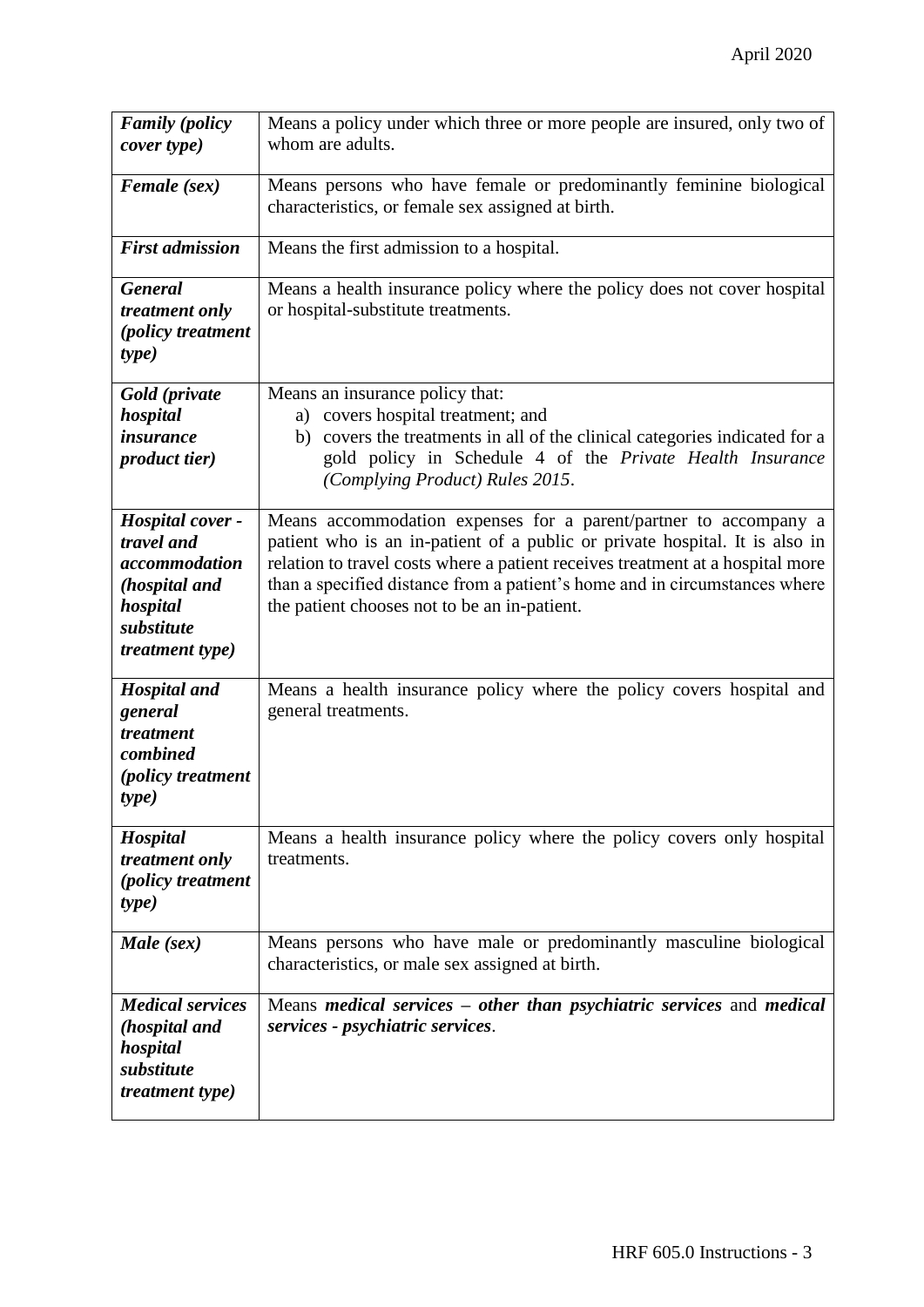| <b>Family</b> (policy      | Means a policy under which three or more people are insured, only two of             |
|----------------------------|--------------------------------------------------------------------------------------|
| cover type)                | whom are adults.                                                                     |
|                            | Means persons who have female or predominantly feminine biological                   |
| Female (sex)               | characteristics, or female sex assigned at birth.                                    |
|                            |                                                                                      |
| <b>First admission</b>     | Means the first admission to a hospital.                                             |
| <b>General</b>             | Means a health insurance policy where the policy does not cover hospital             |
| treatment only             | or hospital-substitute treatments.                                                   |
| (policy treatment          |                                                                                      |
| type)                      |                                                                                      |
| Gold (private              | Means an insurance policy that:                                                      |
| hospital                   | a) covers hospital treatment; and                                                    |
| <i>insurance</i>           | b) covers the treatments in all of the clinical categories indicated for a           |
| <i>product tier</i> )      | gold policy in Schedule 4 of the Private Health Insurance                            |
|                            | (Complying Product) Rules 2015.                                                      |
| Hospital cover -           | Means accommodation expenses for a parent/partner to accompany a                     |
| travel and                 | patient who is an in-patient of a public or private hospital. It is also in          |
| accommodation              | relation to travel costs where a patient receives treatment at a hospital more       |
| (hospital and              | than a specified distance from a patient's home and in circumstances where           |
| hospital<br>substitute     | the patient chooses not to be an in-patient.                                         |
| <i>treatment type)</i>     |                                                                                      |
|                            |                                                                                      |
| <b>Hospital and</b>        | Means a health insurance policy where the policy covers hospital and                 |
| general                    | general treatments.                                                                  |
| treatment<br>combined      |                                                                                      |
| <i>(policy treatment</i>   |                                                                                      |
| type)                      |                                                                                      |
|                            |                                                                                      |
| Hospital<br>treatment only | Means a health insurance policy where the policy covers only hospital<br>treatments. |
| (policy treatment          |                                                                                      |
| <i>type</i> )              |                                                                                      |
|                            |                                                                                      |
| Male (sex)                 | Means persons who have male or predominantly masculine biological                    |
|                            | characteristics, or male sex assigned at birth.                                      |
| <b>Medical services</b>    | Means medical services – other than psychiatric services and medical                 |
| (hospital and              | services - psychiatric services.                                                     |
| hospital                   |                                                                                      |
| substitute                 |                                                                                      |
| <i>treatment type)</i>     |                                                                                      |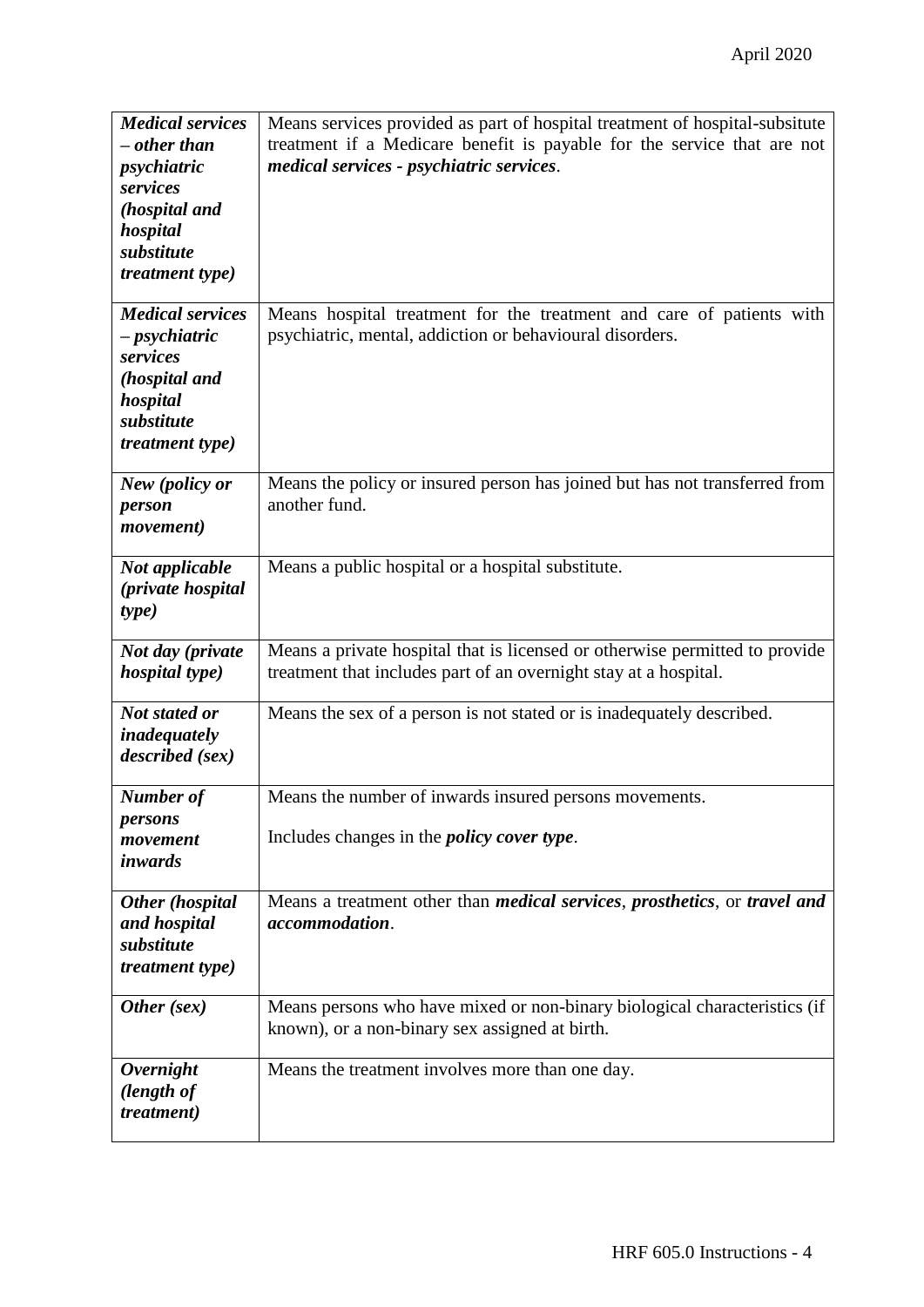| <b>Medical services</b> | Means services provided as part of hospital treatment of hospital-subsitute                      |
|-------------------------|--------------------------------------------------------------------------------------------------|
| $-$ other than          | treatment if a Medicare benefit is payable for the service that are not                          |
| psychiatric             | medical services - psychiatric services.                                                         |
| services                |                                                                                                  |
| (hospital and           |                                                                                                  |
| hospital                |                                                                                                  |
| substitute              |                                                                                                  |
| <i>treatment type)</i>  |                                                                                                  |
|                         |                                                                                                  |
| <b>Medical services</b> | Means hospital treatment for the treatment and care of patients with                             |
| - <i>psychiatric</i>    | psychiatric, mental, addiction or behavioural disorders.                                         |
| services                |                                                                                                  |
| (hospital and           |                                                                                                  |
| hospital                |                                                                                                  |
| substitute              |                                                                                                  |
| <i>treatment type)</i>  |                                                                                                  |
|                         |                                                                                                  |
| New (policy or          | Means the policy or insured person has joined but has not transferred from                       |
| person                  | another fund.                                                                                    |
| <i>movement</i> )       |                                                                                                  |
|                         |                                                                                                  |
| Not applicable          | Means a public hospital or a hospital substitute.                                                |
| (private hospital       |                                                                                                  |
| type)                   |                                                                                                  |
| Not day (private        | Means a private hospital that is licensed or otherwise permitted to provide                      |
| <i>hospital type)</i>   | treatment that includes part of an overnight stay at a hospital.                                 |
|                         |                                                                                                  |
| <b>Not stated or</b>    | Means the sex of a person is not stated or is inadequately described.                            |
| inadequately            |                                                                                                  |
| described (sex)         |                                                                                                  |
|                         |                                                                                                  |
| Number of               | Means the number of inwards insured persons movements.                                           |
| persons                 |                                                                                                  |
| movement                | Includes changes in the <i>policy cover type</i> .                                               |
| inwards                 |                                                                                                  |
| Other (hospital         | Means a treatment other than <i>medical services</i> , <i>prosthetics</i> , or <i>travel and</i> |
| and hospital            | accommodation.                                                                                   |
| substitute              |                                                                                                  |
| <i>treatment type)</i>  |                                                                                                  |
|                         |                                                                                                  |
| Other (sex)             | Means persons who have mixed or non-binary biological characteristics (if                        |
|                         | known), or a non-binary sex assigned at birth.                                                   |
|                         |                                                                                                  |
| <b>Overnight</b>        | Means the treatment involves more than one day.                                                  |
| (length of              |                                                                                                  |
| <i>treatment</i> )      |                                                                                                  |
|                         |                                                                                                  |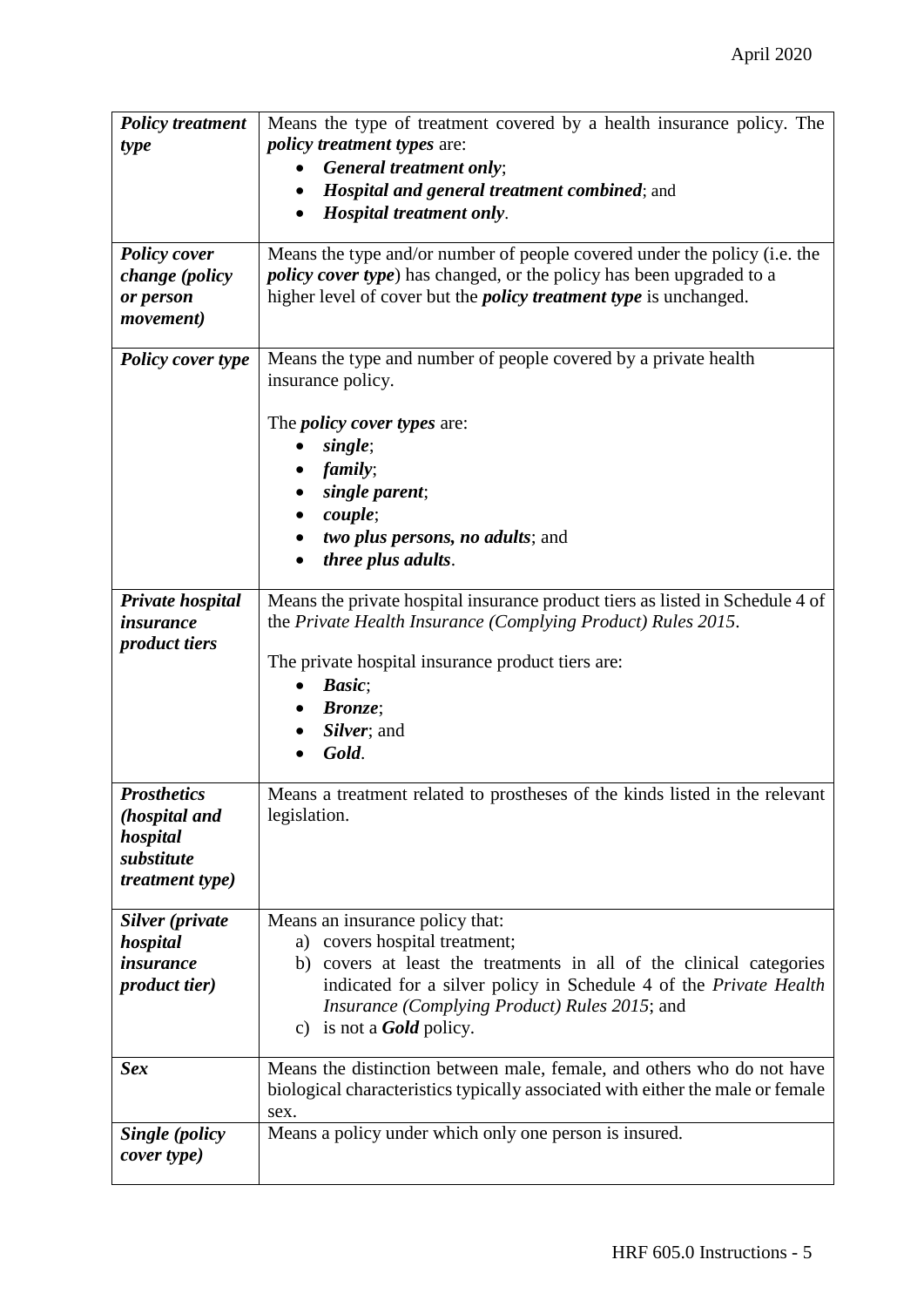| <b>Policy treatment</b>  | Means the type of treatment covered by a health insurance policy. The          |
|--------------------------|--------------------------------------------------------------------------------|
| type                     | <i>policy treatment types are:</i>                                             |
|                          | General treatment only;                                                        |
|                          | <b>Hospital and general treatment combined; and</b>                            |
|                          | Hospital treatment only.                                                       |
|                          |                                                                                |
| <b>Policy cover</b>      | Means the type and/or number of people covered under the policy (i.e. the      |
| change (policy           | <i>policy cover type</i> ) has changed, or the policy has been upgraded to a   |
| or person                | higher level of cover but the <i>policy treatment type</i> is unchanged.       |
| <i>movement</i> )        |                                                                                |
|                          |                                                                                |
| <b>Policy cover type</b> | Means the type and number of people covered by a private health                |
|                          | insurance policy.                                                              |
|                          |                                                                                |
|                          | The <i>policy cover types</i> are:                                             |
|                          | single;                                                                        |
|                          | family;                                                                        |
|                          | single parent;                                                                 |
|                          | couple;                                                                        |
|                          | two plus persons, no adults; and                                               |
|                          | three plus adults.                                                             |
|                          |                                                                                |
| Private hospital         | Means the private hospital insurance product tiers as listed in Schedule 4 of  |
| insurance                | the Private Health Insurance (Complying Product) Rules 2015.                   |
| <i>product tiers</i>     |                                                                                |
|                          | The private hospital insurance product tiers are:                              |
|                          | Basic;<br>$\bullet$                                                            |
|                          | <b>Bronze</b> ;                                                                |
|                          | Silver; and                                                                    |
|                          | Gold.                                                                          |
|                          |                                                                                |
| <b>Prosthetics</b>       | Means a treatment related to prostheses of the kinds listed in the relevant    |
| (hospital and            | legislation.                                                                   |
| hospital                 |                                                                                |
| substitute               |                                                                                |
| <i>treatment type)</i>   |                                                                                |
|                          |                                                                                |
| Silver (private          | Means an insurance policy that:                                                |
| hospital                 | a) covers hospital treatment;                                                  |
| <i>insurance</i>         | covers at least the treatments in all of the clinical categories<br>b)         |
| <i>product tier</i> )    | indicated for a silver policy in Schedule 4 of the Private Health              |
|                          | <i>Insurance (Complying Product) Rules 2015; and</i>                           |
|                          | c) is not a <b>Gold</b> policy.                                                |
|                          |                                                                                |
| <b>Sex</b>               | Means the distinction between male, female, and others who do not have         |
|                          | biological characteristics typically associated with either the male or female |
|                          | sex.                                                                           |
| Single (policy           | Means a policy under which only one person is insured.                         |
| cover type)              |                                                                                |
|                          |                                                                                |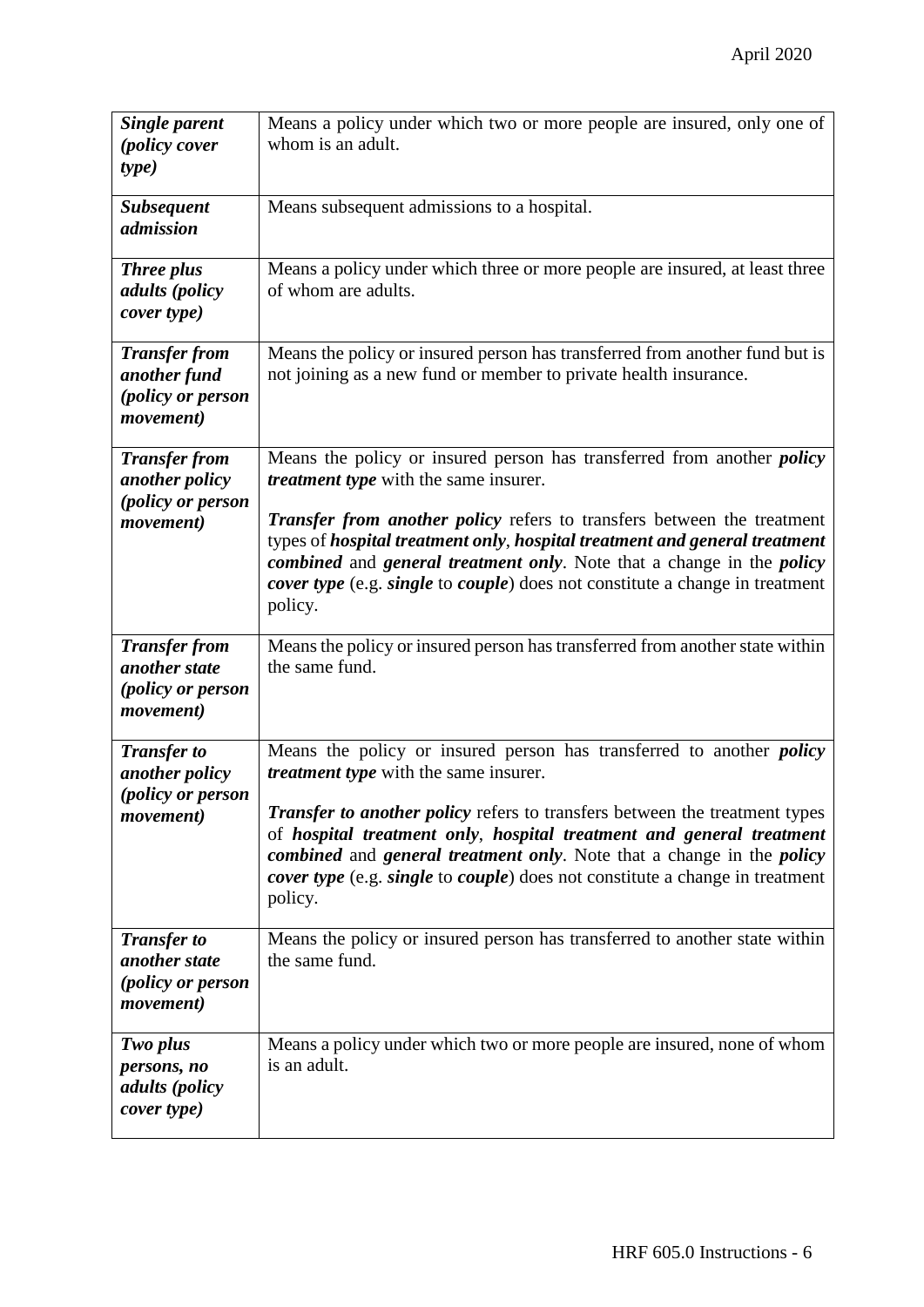| <b>Single parent</b><br><i>(policy cover</i><br>type)                                | Means a policy under which two or more people are insured, only one of<br>whom is an adult.                                                                                                                                                                                                                                                                               |
|--------------------------------------------------------------------------------------|---------------------------------------------------------------------------------------------------------------------------------------------------------------------------------------------------------------------------------------------------------------------------------------------------------------------------------------------------------------------------|
| <b>Subsequent</b><br>admission                                                       | Means subsequent admissions to a hospital.                                                                                                                                                                                                                                                                                                                                |
| <b>Three plus</b><br>adults (policy<br>cover type)                                   | Means a policy under which three or more people are insured, at least three<br>of whom are adults.                                                                                                                                                                                                                                                                        |
| <b>Transfer from</b><br>another fund<br>(policy or person<br><i>movement</i> )       | Means the policy or insured person has transferred from another fund but is<br>not joining as a new fund or member to private health insurance.                                                                                                                                                                                                                           |
| <b>Transfer from</b><br>another policy                                               | Means the policy or insured person has transferred from another <i>policy</i><br>treatment type with the same insurer.                                                                                                                                                                                                                                                    |
| (policy or person<br><i>movement</i> )                                               | <b>Transfer from another policy</b> refers to transfers between the treatment<br>types of hospital treatment only, hospital treatment and general treatment<br>combined and general treatment only. Note that a change in the policy<br><i>cover type</i> (e.g. <i>single</i> to <i>couple</i> ) does not constitute a change in treatment<br>policy.                     |
| <b>Transfer from</b><br>another state<br>(policy or person<br><i>movement</i> )      | Means the policy or insured person has transferred from another state within<br>the same fund.                                                                                                                                                                                                                                                                            |
| <b>Transfer to</b><br>another policy<br>(policy or person                            | Means the policy or insured person has transferred to another <i>policy</i><br><i>treatment type</i> with the same insurer.                                                                                                                                                                                                                                               |
| <i>movement</i> )                                                                    | <b>Transfer to another policy refers to transfers between the treatment types</b><br>of hospital treatment only, hospital treatment and general treatment<br><i>combined</i> and <i>general treatment only</i> . Note that a change in the <i>policy</i><br><i>cover type</i> (e.g. <i>single</i> to <i>couple</i> ) does not constitute a change in treatment<br>policy. |
| <b>Transfer to</b><br>another state<br><i>(policy or person</i><br><i>movement</i> ) | Means the policy or insured person has transferred to another state within<br>the same fund.                                                                                                                                                                                                                                                                              |
| Two plus<br>persons, no<br>adults (policy<br>cover type)                             | Means a policy under which two or more people are insured, none of whom<br>is an adult.                                                                                                                                                                                                                                                                                   |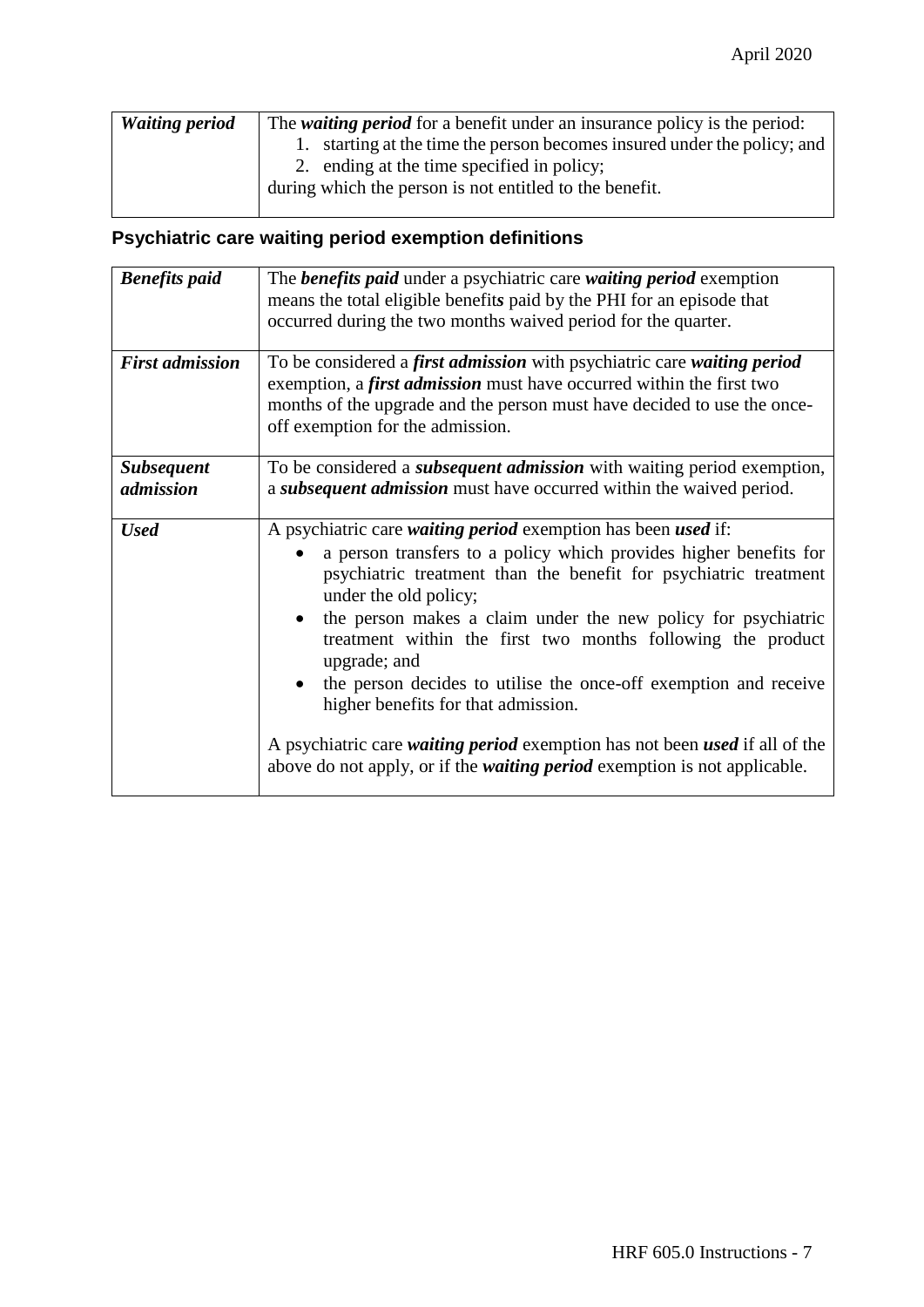| <b>Waiting period</b> | The <i>waiting period</i> for a benefit under an insurance policy is the period: |
|-----------------------|----------------------------------------------------------------------------------|
|                       | 1. starting at the time the person becomes insured under the policy; and         |
|                       | 2. ending at the time specified in policy;                                       |
|                       | during which the person is not entitled to the benefit.                          |
|                       |                                                                                  |

### **Psychiatric care waiting period exemption definitions**

| <b>Benefits paid</b>           | The <b>benefits paid</b> under a psychiatric care waiting period exemption<br>means the total eligible benefits paid by the PHI for an episode that<br>occurred during the two months waived period for the quarter.                                                                                                                                                                                                                                                                                                                                                                                                                                                                     |
|--------------------------------|------------------------------------------------------------------------------------------------------------------------------------------------------------------------------------------------------------------------------------------------------------------------------------------------------------------------------------------------------------------------------------------------------------------------------------------------------------------------------------------------------------------------------------------------------------------------------------------------------------------------------------------------------------------------------------------|
| <b>First admission</b>         | To be considered a first admission with psychiatric care waiting period<br>exemption, a <i>first admission</i> must have occurred within the first two<br>months of the upgrade and the person must have decided to use the once-<br>off exemption for the admission.                                                                                                                                                                                                                                                                                                                                                                                                                    |
| <b>Subsequent</b><br>admission | To be considered a <i>subsequent admission</i> with waiting period exemption,<br>a subsequent admission must have occurred within the waived period.                                                                                                                                                                                                                                                                                                                                                                                                                                                                                                                                     |
| <b>Used</b>                    | A psychiatric care <i>waiting period</i> exemption has been <i>used</i> if:<br>a person transfers to a policy which provides higher benefits for<br>psychiatric treatment than the benefit for psychiatric treatment<br>under the old policy;<br>the person makes a claim under the new policy for psychiatric<br>$\bullet$<br>treatment within the first two months following the product<br>upgrade; and<br>the person decides to utilise the once-off exemption and receive<br>higher benefits for that admission.<br>A psychiatric care waiting period exemption has not been used if all of the<br>above do not apply, or if the <i>waiting period</i> exemption is not applicable. |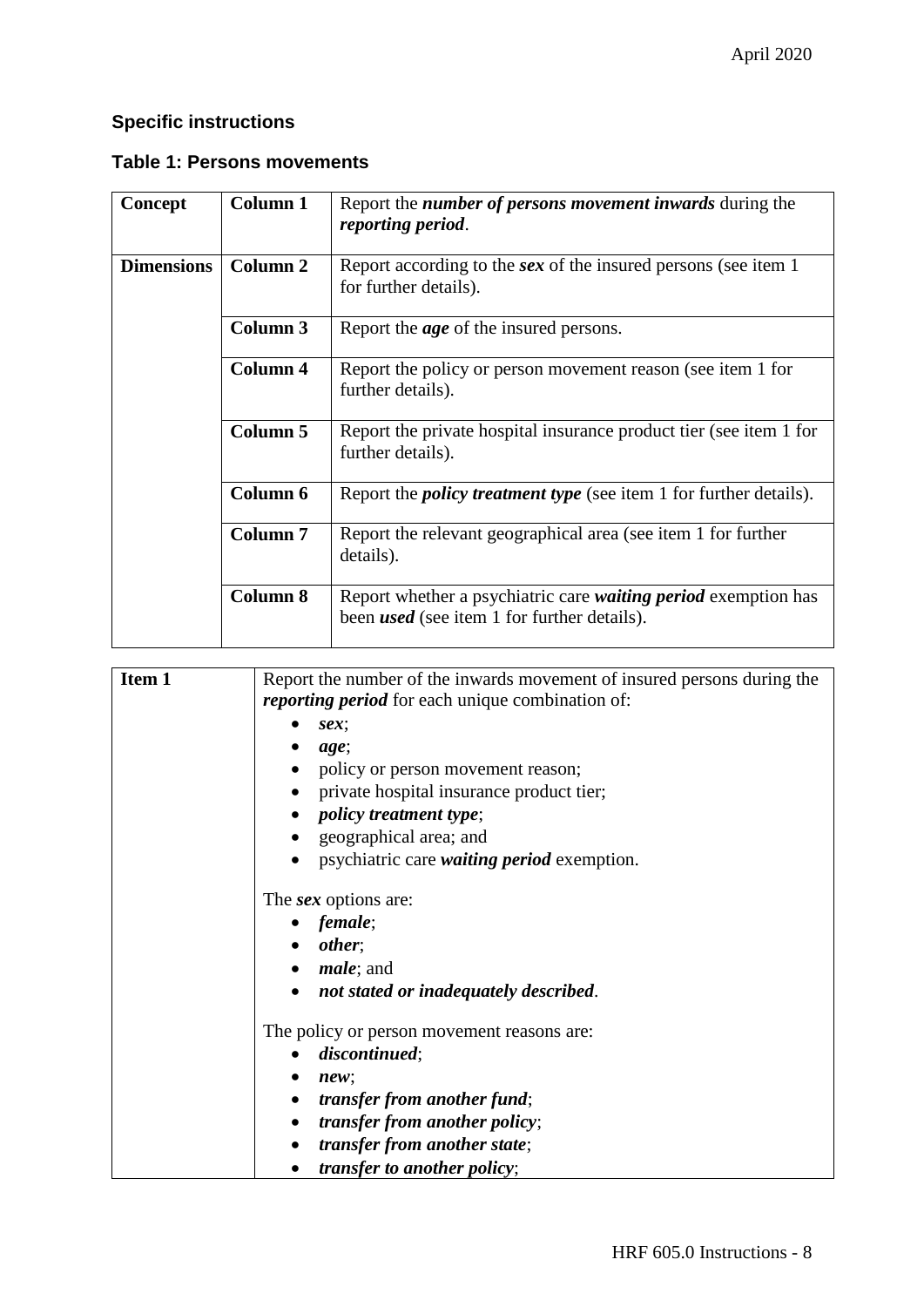### **Specific instructions**

#### **Table 1: Persons movements**

| Concept           | <b>Column 1</b> | Report the <i>number of persons movement inwards</i> during the<br>reporting period.                                 |
|-------------------|-----------------|----------------------------------------------------------------------------------------------------------------------|
| <b>Dimensions</b> | <b>Column 2</b> | Report according to the <i>sex</i> of the insured persons (see item 1)<br>for further details).                      |
|                   | Column 3        | Report the <i>age</i> of the insured persons.                                                                        |
|                   | Column 4        | Report the policy or person movement reason (see item 1 for<br>further details).                                     |
|                   | Column 5        | Report the private hospital insurance product tier (see item 1 for<br>further details).                              |
|                   | Column 6        | Report the <i>policy treatment type</i> (see item 1 for further details).                                            |
|                   | <b>Column 7</b> | Report the relevant geographical area (see item 1 for further<br>details).                                           |
|                   | <b>Column 8</b> | Report whether a psychiatric care waiting period exemption has<br>been <i>used</i> (see item 1 for further details). |

| Item 1 | Report the number of the inwards movement of insured persons during the |
|--------|-------------------------------------------------------------------------|
|        | <i>reporting period</i> for each unique combination of:                 |
|        | $sex$ ;                                                                 |
|        | age;                                                                    |
|        | policy or person movement reason;                                       |
|        | private hospital insurance product tier;                                |
|        | <i>policy treatment type</i> ;                                          |
|        | geographical area; and                                                  |
|        | psychiatric care <i>waiting period</i> exemption.                       |
|        | The sex options are:                                                    |
|        | $\bullet$ female;                                                       |
|        | $\bullet$ other;                                                        |
|        | <i>male</i> ; and                                                       |
|        | not stated or inadequately described.                                   |
|        | The policy or person movement reasons are:                              |
|        | discontinued;                                                           |
|        | new:<br>$\bullet$                                                       |
|        | <i>transfer from another fund;</i>                                      |
|        | <i>transfer from another policy;</i>                                    |
|        | transfer from another state;                                            |
|        | <i>transfer to another policy;</i>                                      |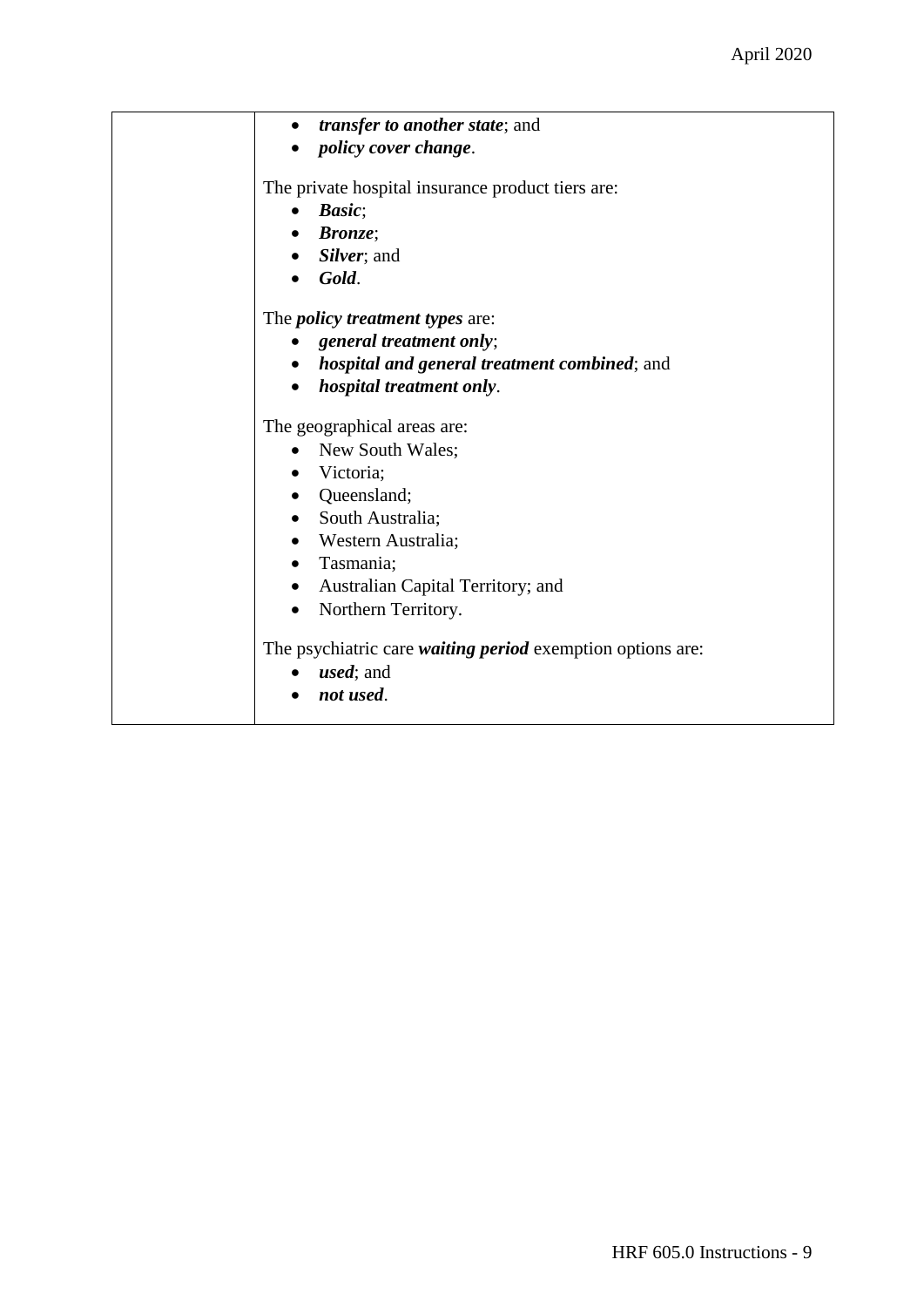| transfer to another state; and<br>$\bullet$                       |
|-------------------------------------------------------------------|
| <i>policy cover change.</i>                                       |
|                                                                   |
| The private hospital insurance product tiers are:                 |
| Basic;                                                            |
| $\bullet$ Bronze;                                                 |
| • Silver; and                                                     |
| Gold.                                                             |
| The <i>policy treatment types</i> are:                            |
| general treatment only;                                           |
| • hospital and general treatment combined; and                    |
| • hospital treatment only.                                        |
|                                                                   |
| The geographical areas are:                                       |
| New South Wales;                                                  |
| • Victoria;                                                       |
| • Queensland;                                                     |
| • South Australia;                                                |
| • Western Australia;                                              |
| • Tasmania;                                                       |
| • Australian Capital Territory; and                               |
| Northern Territory.<br>$\bullet$                                  |
|                                                                   |
| The psychiatric care <i>waiting period</i> exemption options are: |
| <i>used</i> ; and                                                 |
| not used.                                                         |
|                                                                   |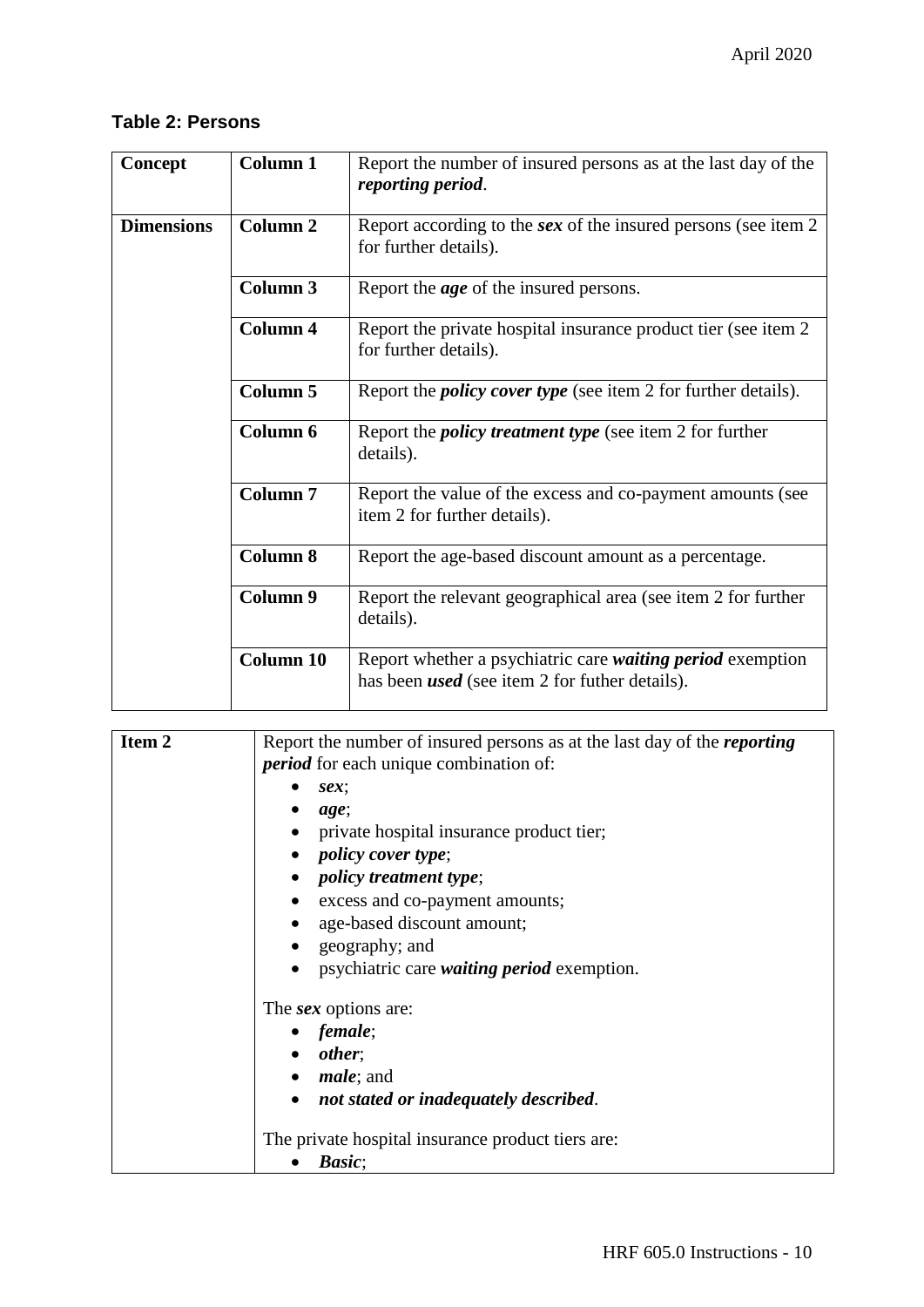#### **Table 2: Persons**

| Concept           | <b>Column 1</b>     | Report the number of insured persons as at the last day of the<br>reporting period.                                        |
|-------------------|---------------------|----------------------------------------------------------------------------------------------------------------------------|
| <b>Dimensions</b> | Column <sub>2</sub> | Report according to the sex of the insured persons (see item 2)<br>for further details).                                   |
|                   | <b>Column 3</b>     | Report the <i>age</i> of the insured persons.                                                                              |
|                   | <b>Column 4</b>     | Report the private hospital insurance product tier (see item 2)<br>for further details).                                   |
|                   | <b>Column 5</b>     | Report the <i>policy cover type</i> (see item 2 for further details).                                                      |
|                   | Column 6            | Report the <i>policy treatment type</i> (see item 2 for further<br>details).                                               |
|                   | <b>Column 7</b>     | Report the value of the excess and co-payment amounts (see<br>item 2 for further details).                                 |
|                   | <b>Column 8</b>     | Report the age-based discount amount as a percentage.                                                                      |
|                   | Column 9            | Report the relevant geographical area (see item 2 for further<br>details).                                                 |
|                   | <b>Column 10</b>    | Report whether a psychiatric care <i>waiting period</i> exemption<br>has been <i>used</i> (see item 2 for futher details). |

| Item <sub>2</sub> | Report the number of insured persons as at the last day of the <i>reporting</i><br><i>period</i> for each unique combination of: |
|-------------------|----------------------------------------------------------------------------------------------------------------------------------|
|                   | sex                                                                                                                              |
|                   | age;                                                                                                                             |
|                   | private hospital insurance product tier;                                                                                         |
|                   | <i>policy cover type</i> ;                                                                                                       |
|                   | • <i>policy treatment type</i> ;                                                                                                 |
|                   | excess and co-payment amounts;                                                                                                   |
|                   | • age-based discount amount;                                                                                                     |
|                   | geography; and                                                                                                                   |
|                   | psychiatric care <i>waiting period</i> exemption.                                                                                |
|                   | The <i>sex</i> options are:                                                                                                      |
|                   | $\bullet$ female;                                                                                                                |
|                   | $\bullet$ other;                                                                                                                 |
|                   | $\bullet$ <i>male</i> ; and                                                                                                      |
|                   | not stated or inadequately described.                                                                                            |
|                   | The private hospital insurance product tiers are:                                                                                |
|                   | <i>Basic</i> ;                                                                                                                   |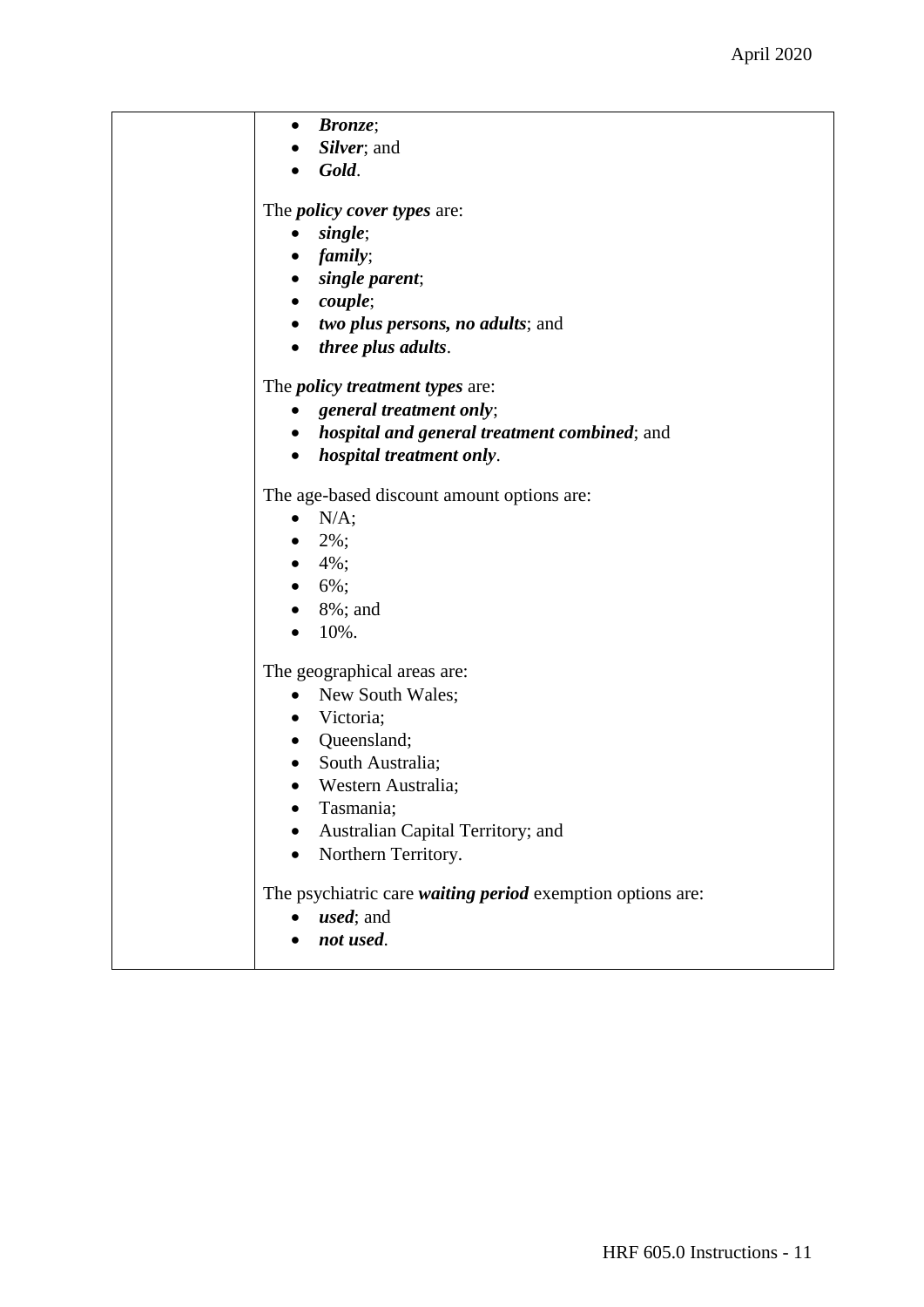| <b>Bronze</b> ;<br>$\bullet$                               |
|------------------------------------------------------------|
| Silver; and                                                |
| Gold.                                                      |
| The <i>policy cover types</i> are:                         |
| single;<br>$\bullet$                                       |
| $\bullet$ family;                                          |
| single parent;<br>$\bullet$                                |
| $\bullet$ couple;                                          |
| • two plus persons, no adults; and                         |
| • <i>three plus adults.</i>                                |
| The <i>policy treatment types</i> are:                     |
| general treatment only;<br>٠                               |
| • hospital and general treatment combined; and             |
| hospital treatment only.<br>$\bullet$                      |
| The age-based discount amount options are:                 |
| $\bullet$ N/A;                                             |
| $2\%$ ;                                                    |
| • $4\%$ ;                                                  |
| $6\%$ ;                                                    |
| 8%; and                                                    |
| 10%.                                                       |
| The geographical areas are:                                |
| New South Wales;<br>$\bullet$                              |
| • Victoria;                                                |
| • Queensland;                                              |
| South Australia;<br>$\bullet$                              |
| • Western Australia;                                       |
| Tasmania;                                                  |
| Australian Capital Territory; and                          |
| Northern Territory.                                        |
| The psychiatric care waiting period exemption options are: |
| <i>used</i> ; and                                          |
| not used.                                                  |
|                                                            |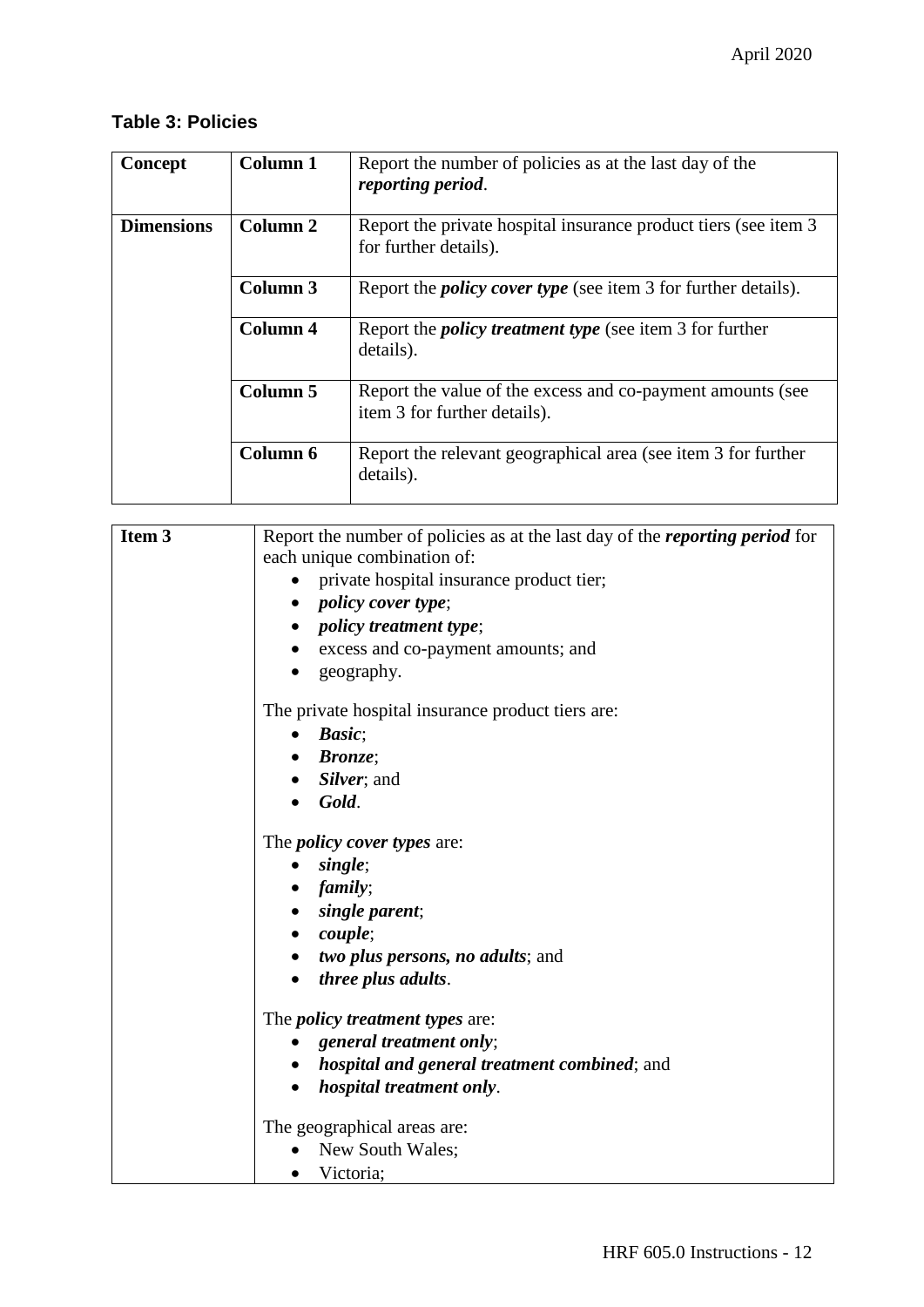#### **Table 3: Policies**

| Concept           | Column 1 | Report the number of policies as at the last day of the<br>reporting period.               |
|-------------------|----------|--------------------------------------------------------------------------------------------|
| <b>Dimensions</b> | Column 2 | Report the private hospital insurance product tiers (see item 3)<br>for further details).  |
|                   | Column 3 | Report the <i>policy cover type</i> (see item 3 for further details).                      |
|                   | Column 4 | Report the <i>policy treatment type</i> (see item 3 for further<br>details).               |
|                   | Column 5 | Report the value of the excess and co-payment amounts (see<br>item 3 for further details). |
|                   | Column 6 | Report the relevant geographical area (see item 3 for further<br>details).                 |

| Item 3 | Report the number of policies as at the last day of the <i>reporting period</i> for |
|--------|-------------------------------------------------------------------------------------|
|        | each unique combination of:                                                         |
|        | private hospital insurance product tier;                                            |
|        | <i>policy cover type</i> ;                                                          |
|        | <i>policy treatment type;</i>                                                       |
|        | excess and co-payment amounts; and                                                  |
|        | geography.                                                                          |
|        | The private hospital insurance product tiers are:                                   |
|        | Basic;<br>$\bullet$                                                                 |
|        | <b>Bronze</b> ;                                                                     |
|        | Silver; and                                                                         |
|        | Gold.                                                                               |
|        | The <i>policy cover types</i> are:                                                  |
|        | single;                                                                             |
|        | family;                                                                             |
|        | single parent;                                                                      |
|        | <i>couple</i> ;                                                                     |
|        | <i>two plus persons, no adults; and</i>                                             |
|        | <i>three plus adults.</i>                                                           |
|        | The <i>policy treatment types</i> are:                                              |
|        | general treatment only;                                                             |
|        | <i>hospital and general treatment combined; and</i>                                 |
|        | hospital treatment only.                                                            |
|        | The geographical areas are:                                                         |
|        | New South Wales;                                                                    |
|        | Victoria;                                                                           |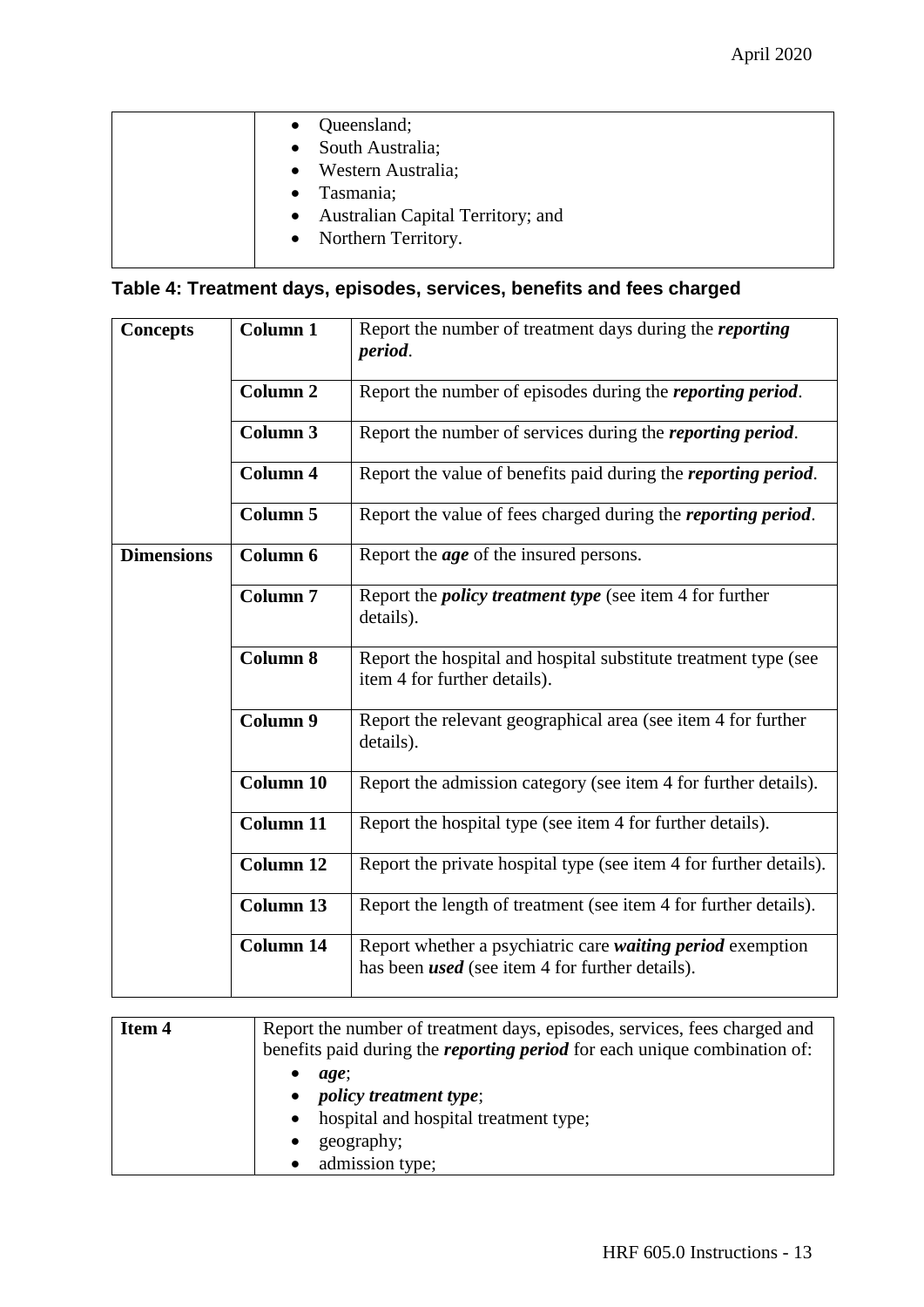| Queensland;<br>• South Australia;<br>• Western Australia;<br>Tasmania;<br>$\bullet$ |
|-------------------------------------------------------------------------------------|
| • Australian Capital Territory; and<br>• Northern Territory.                        |

### **Table 4: Treatment days, episodes, services, benefits and fees charged**

| <b>Concepts</b>   | Column 1         | Report the number of treatment days during the <i>reporting</i><br>period.                                           |
|-------------------|------------------|----------------------------------------------------------------------------------------------------------------------|
|                   | <b>Column 2</b>  | Report the number of episodes during the <i>reporting period</i> .                                                   |
|                   | <b>Column 3</b>  | Report the number of services during the <i>reporting period</i> .                                                   |
|                   | <b>Column 4</b>  | Report the value of benefits paid during the <i>reporting period</i> .                                               |
|                   | <b>Column 5</b>  | Report the value of fees charged during the <i>reporting period</i> .                                                |
| <b>Dimensions</b> | Column 6         | Report the <i>age</i> of the insured persons.                                                                        |
|                   | <b>Column 7</b>  | Report the <i>policy treatment type</i> (see item 4 for further<br>details).                                         |
|                   | <b>Column 8</b>  | Report the hospital and hospital substitute treatment type (see<br>item 4 for further details).                      |
|                   | Column 9         | Report the relevant geographical area (see item 4 for further<br>details).                                           |
|                   | <b>Column 10</b> | Report the admission category (see item 4 for further details).                                                      |
|                   | <b>Column 11</b> | Report the hospital type (see item 4 for further details).                                                           |
|                   | <b>Column 12</b> | Report the private hospital type (see item 4 for further details).                                                   |
|                   | Column 13        | Report the length of treatment (see item 4 for further details).                                                     |
|                   | <b>Column 14</b> | Report whether a psychiatric care waiting period exemption<br>has been <i>used</i> (see item 4 for further details). |

| Item 4 | Report the number of treatment days, episodes, services, fees charged and<br>benefits paid during the <i>reporting period</i> for each unique combination of: |
|--------|---------------------------------------------------------------------------------------------------------------------------------------------------------------|
|        | age;<br><i>policy treatment type</i> ;<br>hospital and hospital treatment type;<br>geography;<br>admission type;                                              |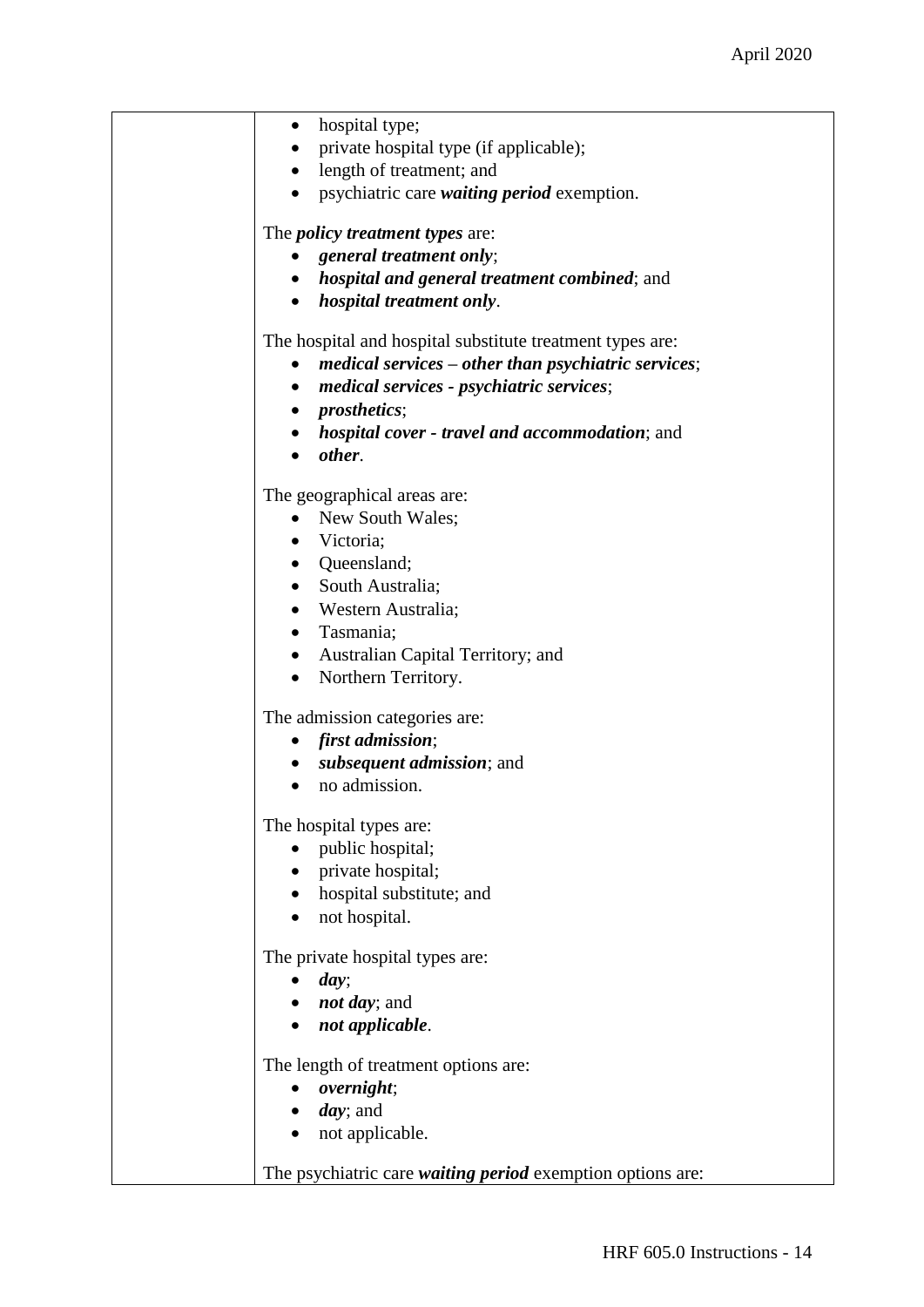| hospital type;<br>$\bullet$<br>private hospital type (if applicable);<br>$\bullet$<br>length of treatment; and<br>$\bullet$<br>• psychiatric care <i>waiting period</i> exemption.<br>The <i>policy treatment types</i> are:<br>• general treatment only;<br>• hospital and general treatment combined; and<br>• hospital treatment only. |
|-------------------------------------------------------------------------------------------------------------------------------------------------------------------------------------------------------------------------------------------------------------------------------------------------------------------------------------------|
| The hospital and hospital substitute treatment types are:<br>$medical$ services – other than psychiatric services;<br>medical services - psychiatric services;<br>$\bullet$<br>• <i>prosthetics</i> ;<br>• <i>hospital cover - travel and accommodation</i> ; and<br>other.                                                               |
| The geographical areas are:<br>New South Wales;<br>$\bullet$<br>• Victoria;<br>• Queensland;<br>• South Australia;<br>• Western Australia;<br>• Tasmania;<br>• Australian Capital Territory; and<br>• Northern Territory.                                                                                                                 |
| The admission categories are:<br>• first admission;<br>subsequent admission; and<br>no admission.                                                                                                                                                                                                                                         |
| The hospital types are:<br>public hospital;<br>• private hospital;<br>hospital substitute; and<br>not hospital.<br>$\bullet$                                                                                                                                                                                                              |
| The private hospital types are:<br>day;<br><i>not day</i> ; and<br>not applicable.                                                                                                                                                                                                                                                        |
| The length of treatment options are:<br>overnight;<br><i>day</i> ; and<br>not applicable.<br>The psychiatric care <i>waiting period</i> exemption options are:                                                                                                                                                                            |